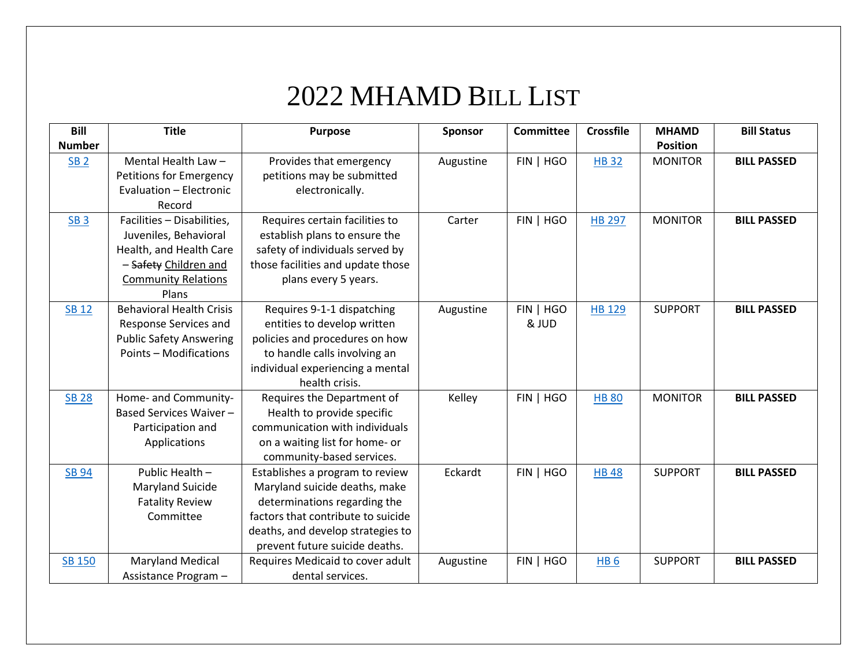## 2022 MHAMD BILL LIST

| <b>Bill</b>     | <b>Title</b>                    | <b>Purpose</b>                     | Sponsor   | <b>Committee</b> | <b>Crossfile</b> | <b>MHAMD</b>    | <b>Bill Status</b> |
|-----------------|---------------------------------|------------------------------------|-----------|------------------|------------------|-----------------|--------------------|
| <b>Number</b>   |                                 |                                    |           |                  |                  | <b>Position</b> |                    |
| <b>SB 2</b>     | Mental Health Law -             | Provides that emergency            | Augustine | FIN   HGO        | <b>HB32</b>      | <b>MONITOR</b>  | <b>BILL PASSED</b> |
|                 | Petitions for Emergency         | petitions may be submitted         |           |                  |                  |                 |                    |
|                 | Evaluation - Electronic         | electronically.                    |           |                  |                  |                 |                    |
|                 | Record                          |                                    |           |                  |                  |                 |                    |
| SB <sub>3</sub> | Facilities - Disabilities,      | Requires certain facilities to     | Carter    | FIN   HGO        | <b>HB 297</b>    | <b>MONITOR</b>  | <b>BILL PASSED</b> |
|                 | Juveniles, Behavioral           | establish plans to ensure the      |           |                  |                  |                 |                    |
|                 | Health, and Health Care         | safety of individuals served by    |           |                  |                  |                 |                    |
|                 | - Safety Children and           | those facilities and update those  |           |                  |                  |                 |                    |
|                 | <b>Community Relations</b>      | plans every 5 years.               |           |                  |                  |                 |                    |
|                 | Plans                           |                                    |           |                  |                  |                 |                    |
| <b>SB 12</b>    | <b>Behavioral Health Crisis</b> | Requires 9-1-1 dispatching         | Augustine | FIN   HGO        | <b>HB 129</b>    | <b>SUPPORT</b>  | <b>BILL PASSED</b> |
|                 | Response Services and           | entities to develop written        |           | & JUD            |                  |                 |                    |
|                 | <b>Public Safety Answering</b>  | policies and procedures on how     |           |                  |                  |                 |                    |
|                 | Points - Modifications          | to handle calls involving an       |           |                  |                  |                 |                    |
|                 |                                 | individual experiencing a mental   |           |                  |                  |                 |                    |
|                 |                                 | health crisis.                     |           |                  |                  |                 |                    |
| <b>SB 28</b>    | Home- and Community-            | Requires the Department of         | Kelley    | FIN   HGO        | <b>HB 80</b>     | <b>MONITOR</b>  | <b>BILL PASSED</b> |
|                 | Based Services Waiver-          | Health to provide specific         |           |                  |                  |                 |                    |
|                 | Participation and               | communication with individuals     |           |                  |                  |                 |                    |
|                 | Applications                    | on a waiting list for home- or     |           |                  |                  |                 |                    |
|                 |                                 | community-based services.          |           |                  |                  |                 |                    |
| <b>SB 94</b>    | Public Health -                 | Establishes a program to review    | Eckardt   | FIN   HGO        | <b>HB48</b>      | <b>SUPPORT</b>  | <b>BILL PASSED</b> |
|                 | Maryland Suicide                | Maryland suicide deaths, make      |           |                  |                  |                 |                    |
|                 | <b>Fatality Review</b>          | determinations regarding the       |           |                  |                  |                 |                    |
|                 | Committee                       | factors that contribute to suicide |           |                  |                  |                 |                    |
|                 |                                 | deaths, and develop strategies to  |           |                  |                  |                 |                    |
|                 |                                 | prevent future suicide deaths.     |           |                  |                  |                 |                    |
| <b>SB 150</b>   | <b>Maryland Medical</b>         | Requires Medicaid to cover adult   | Augustine | FIN   HGO        | HB <sub>6</sub>  | <b>SUPPORT</b>  | <b>BILL PASSED</b> |
|                 | Assistance Program -            | dental services.                   |           |                  |                  |                 |                    |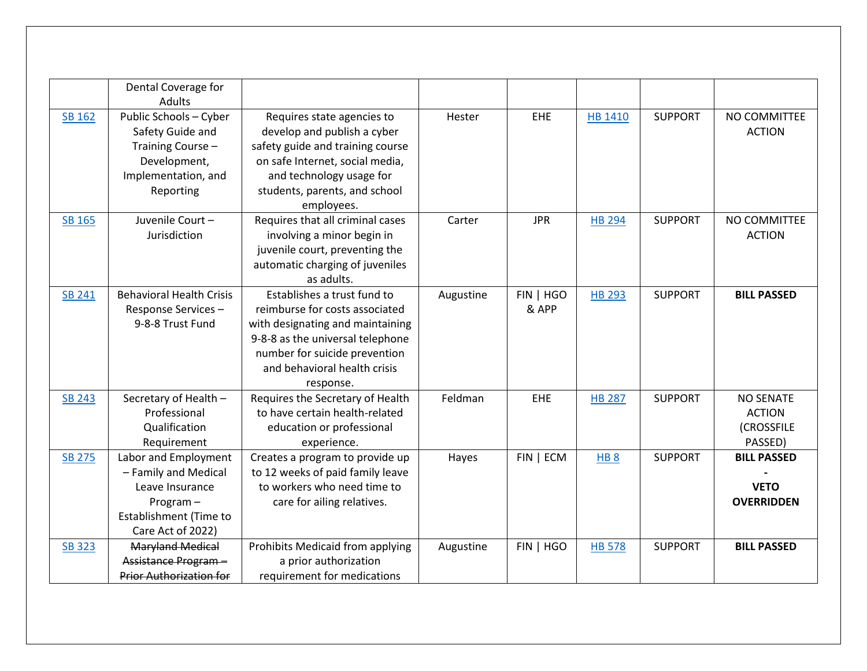|               | Dental Coverage for             |                                  |           |            |                 |                |                    |
|---------------|---------------------------------|----------------------------------|-----------|------------|-----------------|----------------|--------------------|
|               | <b>Adults</b>                   |                                  |           |            |                 |                |                    |
| SB 162        | Public Schools - Cyber          | Requires state agencies to       | Hester    | EHE        | HB 1410         | <b>SUPPORT</b> | NO COMMITTEE       |
|               | Safety Guide and                | develop and publish a cyber      |           |            |                 |                | <b>ACTION</b>      |
|               | Training Course-                | safety guide and training course |           |            |                 |                |                    |
|               | Development,                    | on safe Internet, social media,  |           |            |                 |                |                    |
|               | Implementation, and             | and technology usage for         |           |            |                 |                |                    |
|               | Reporting                       | students, parents, and school    |           |            |                 |                |                    |
|               |                                 | employees.                       |           |            |                 |                |                    |
| SB 165        | Juvenile Court-                 | Requires that all criminal cases | Carter    | <b>JPR</b> | <b>HB 294</b>   | <b>SUPPORT</b> | NO COMMITTEE       |
|               | Jurisdiction                    | involving a minor begin in       |           |            |                 |                | <b>ACTION</b>      |
|               |                                 | juvenile court, preventing the   |           |            |                 |                |                    |
|               |                                 | automatic charging of juveniles  |           |            |                 |                |                    |
|               |                                 | as adults.                       |           |            |                 |                |                    |
| <b>SB 241</b> | <b>Behavioral Health Crisis</b> | Establishes a trust fund to      | Augustine | FIN   HGO  | <b>HB 293</b>   | <b>SUPPORT</b> | <b>BILL PASSED</b> |
|               | Response Services-              | reimburse for costs associated   |           | & APP      |                 |                |                    |
|               | 9-8-8 Trust Fund                | with designating and maintaining |           |            |                 |                |                    |
|               |                                 | 9-8-8 as the universal telephone |           |            |                 |                |                    |
|               |                                 | number for suicide prevention    |           |            |                 |                |                    |
|               |                                 | and behavioral health crisis     |           |            |                 |                |                    |
|               |                                 | response.                        |           |            |                 |                |                    |
| <b>SB 243</b> | Secretary of Health -           | Requires the Secretary of Health | Feldman   | EHE        | <b>HB 287</b>   | <b>SUPPORT</b> | <b>NO SENATE</b>   |
|               | Professional                    | to have certain health-related   |           |            |                 |                | <b>ACTION</b>      |
|               | Qualification                   | education or professional        |           |            |                 |                | (CROSSFILE         |
|               | Requirement                     | experience.                      |           |            |                 |                | PASSED)            |
| <b>SB 275</b> | Labor and Employment            | Creates a program to provide up  | Hayes     | FIN   ECM  | HB <sub>8</sub> | <b>SUPPORT</b> | <b>BILL PASSED</b> |
|               | - Family and Medical            | to 12 weeks of paid family leave |           |            |                 |                |                    |
|               | Leave Insurance                 | to workers who need time to      |           |            |                 |                | <b>VETO</b>        |
|               | Program $-$                     | care for ailing relatives.       |           |            |                 |                | <b>OVERRIDDEN</b>  |
|               | Establishment (Time to          |                                  |           |            |                 |                |                    |
|               | Care Act of 2022)               |                                  |           |            |                 |                |                    |
| <b>SB 323</b> | <b>Maryland Medical</b>         | Prohibits Medicaid from applying | Augustine | FIN   HGO  | <b>HB 578</b>   | <b>SUPPORT</b> | <b>BILL PASSED</b> |
|               | Assistance Program-             | a prior authorization            |           |            |                 |                |                    |
|               | <b>Prior Authorization for</b>  | requirement for medications      |           |            |                 |                |                    |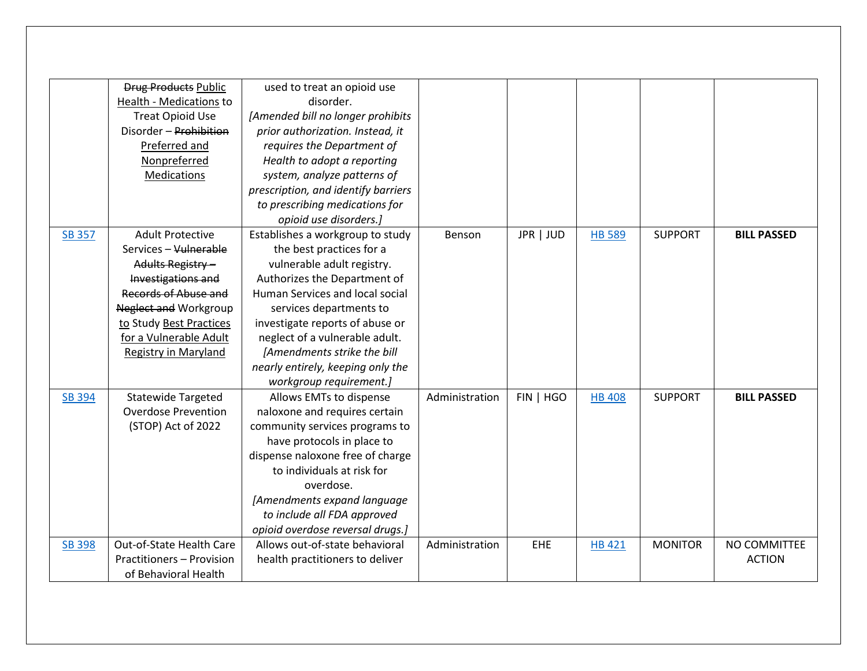|               | <b>Drug Products Public</b><br>Health - Medications to<br><b>Treat Opioid Use</b><br>Disorder - Prohibition<br>Preferred and<br>Nonpreferred<br>Medications                                                                      | used to treat an opioid use<br>disorder.<br>[Amended bill no longer prohibits<br>prior authorization. Instead, it<br>requires the Department of<br>Health to adopt a reporting<br>system, analyze patterns of<br>prescription, and identify barriers                                                                                                         |                |           |               |                |                               |
|---------------|----------------------------------------------------------------------------------------------------------------------------------------------------------------------------------------------------------------------------------|--------------------------------------------------------------------------------------------------------------------------------------------------------------------------------------------------------------------------------------------------------------------------------------------------------------------------------------------------------------|----------------|-----------|---------------|----------------|-------------------------------|
|               |                                                                                                                                                                                                                                  | to prescribing medications for<br>opioid use disorders.]                                                                                                                                                                                                                                                                                                     |                |           |               |                |                               |
| <b>SB 357</b> | <b>Adult Protective</b><br>Services - Vulnerable<br>Adults Registry -<br>Investigations and<br>Records of Abuse and<br><b>Neglect and Workgroup</b><br>to Study Best Practices<br>for a Vulnerable Adult<br>Registry in Maryland | Establishes a workgroup to study<br>the best practices for a<br>vulnerable adult registry.<br>Authorizes the Department of<br>Human Services and local social<br>services departments to<br>investigate reports of abuse or<br>neglect of a vulnerable adult.<br>[Amendments strike the bill<br>nearly entirely, keeping only the<br>workgroup requirement.] | Benson         | JPR   JUD | <b>HB 589</b> | <b>SUPPORT</b> | <b>BILL PASSED</b>            |
| <b>SB 394</b> | <b>Statewide Targeted</b><br><b>Overdose Prevention</b><br>(STOP) Act of 2022                                                                                                                                                    | Allows EMTs to dispense<br>naloxone and requires certain<br>community services programs to<br>have protocols in place to<br>dispense naloxone free of charge<br>to individuals at risk for<br>overdose.<br>[Amendments expand language<br>to include all FDA approved<br>opioid overdose reversal drugs.]                                                    | Administration | FIN   HGO | <b>HB 408</b> | <b>SUPPORT</b> | <b>BILL PASSED</b>            |
| <b>SB 398</b> | Out-of-State Health Care<br>Practitioners - Provision<br>of Behavioral Health                                                                                                                                                    | Allows out-of-state behavioral<br>health practitioners to deliver                                                                                                                                                                                                                                                                                            | Administration | EHE       | HB 421        | <b>MONITOR</b> | NO COMMITTEE<br><b>ACTION</b> |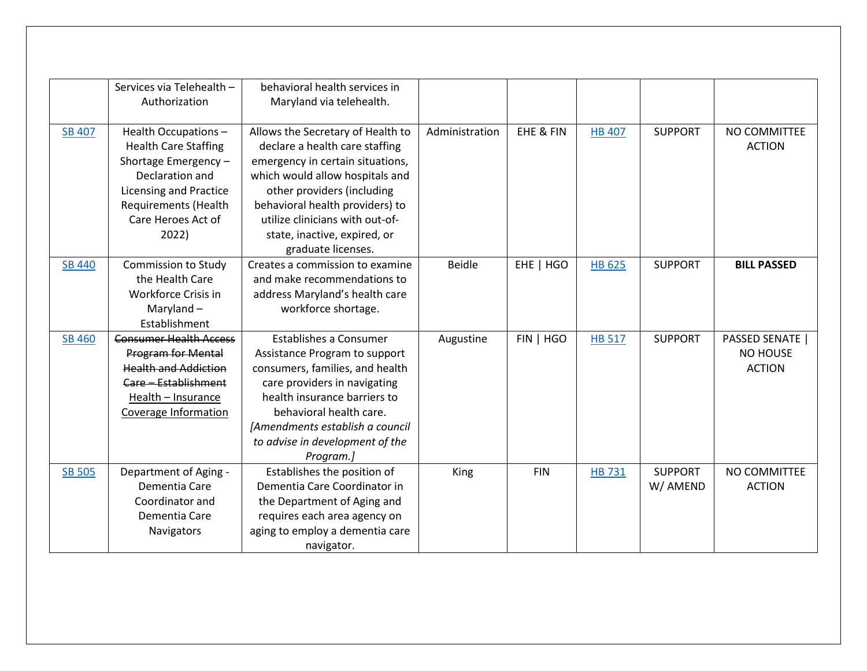|               | Services via Telehealth -     | behavioral health services in     |                |            |               |                |                        |
|---------------|-------------------------------|-----------------------------------|----------------|------------|---------------|----------------|------------------------|
|               | Authorization                 | Maryland via telehealth.          |                |            |               |                |                        |
| <b>SB 407</b> | Health Occupations-           | Allows the Secretary of Health to | Administration | EHE & FIN  | <b>HB 407</b> | <b>SUPPORT</b> | NO COMMITTEE           |
|               | <b>Health Care Staffing</b>   | declare a health care staffing    |                |            |               |                | <b>ACTION</b>          |
|               | Shortage Emergency-           | emergency in certain situations,  |                |            |               |                |                        |
|               | Declaration and               | which would allow hospitals and   |                |            |               |                |                        |
|               | <b>Licensing and Practice</b> | other providers (including        |                |            |               |                |                        |
|               | Requirements (Health          | behavioral health providers) to   |                |            |               |                |                        |
|               | Care Heroes Act of            | utilize clinicians with out-of-   |                |            |               |                |                        |
|               | 2022)                         | state, inactive, expired, or      |                |            |               |                |                        |
|               |                               | graduate licenses.                |                |            |               |                |                        |
| <b>SB 440</b> | <b>Commission to Study</b>    | Creates a commission to examine   | <b>Beidle</b>  | EHE   HGO  | <b>HB 625</b> | <b>SUPPORT</b> | <b>BILL PASSED</b>     |
|               | the Health Care               | and make recommendations to       |                |            |               |                |                        |
|               | Workforce Crisis in           | address Maryland's health care    |                |            |               |                |                        |
|               | Maryland $-$                  | workforce shortage.               |                |            |               |                |                        |
|               | Establishment                 |                                   |                |            |               |                |                        |
| <b>SB 460</b> | <b>Consumer Health Access</b> | <b>Establishes a Consumer</b>     | Augustine      | FIN   HGO  | <b>HB 517</b> | <b>SUPPORT</b> | <b>PASSED SENATE  </b> |
|               | <b>Program for Mental</b>     | Assistance Program to support     |                |            |               |                | <b>NO HOUSE</b>        |
|               | <b>Health and Addiction</b>   | consumers, families, and health   |                |            |               |                | <b>ACTION</b>          |
|               | Care - Establishment          | care providers in navigating      |                |            |               |                |                        |
|               | Health - Insurance            | health insurance barriers to      |                |            |               |                |                        |
|               | Coverage Information          | behavioral health care.           |                |            |               |                |                        |
|               |                               | [Amendments establish a council   |                |            |               |                |                        |
|               |                               | to advise in development of the   |                |            |               |                |                        |
|               |                               | Program.]                         |                |            |               |                |                        |
| <b>SB 505</b> | Department of Aging -         | Establishes the position of       | King           | <b>FIN</b> | <b>HB731</b>  | <b>SUPPORT</b> | NO COMMITTEE           |
|               | Dementia Care                 | Dementia Care Coordinator in      |                |            |               | W/ AMEND       | <b>ACTION</b>          |
|               | Coordinator and               | the Department of Aging and       |                |            |               |                |                        |
|               | Dementia Care                 | requires each area agency on      |                |            |               |                |                        |
|               | Navigators                    | aging to employ a dementia care   |                |            |               |                |                        |
|               |                               | navigator.                        |                |            |               |                |                        |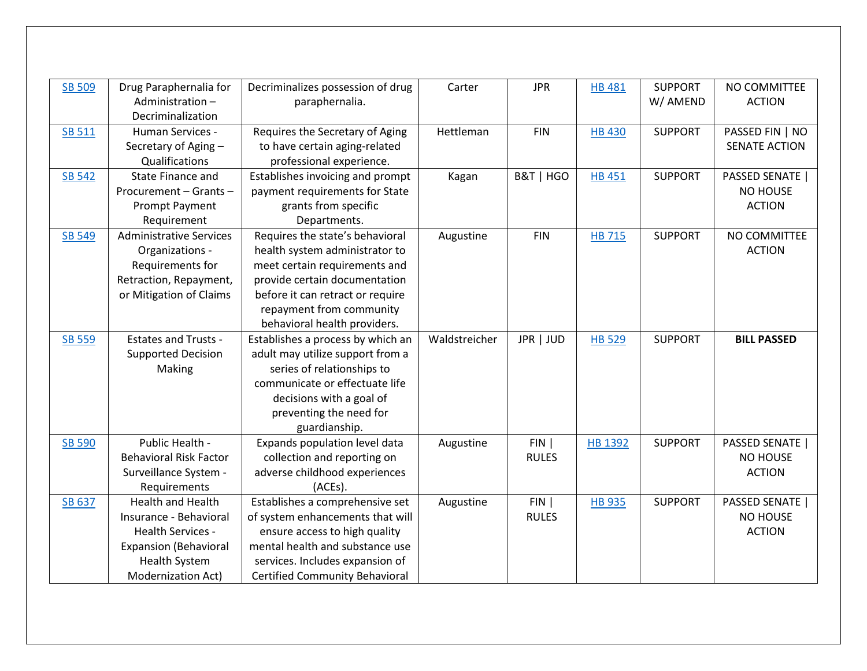| <b>SB 509</b> | Drug Paraphernalia for<br>Administration- | Decriminalizes possession of drug<br>paraphernalia. | Carter        | <b>JPR</b>   | <b>HB 481</b> | <b>SUPPORT</b><br>W/ AMEND | NO COMMITTEE<br><b>ACTION</b> |
|---------------|-------------------------------------------|-----------------------------------------------------|---------------|--------------|---------------|----------------------------|-------------------------------|
| <b>SB 511</b> | Decriminalization<br>Human Services -     | Requires the Secretary of Aging                     | Hettleman     | <b>FIN</b>   | <b>HB430</b>  | <b>SUPPORT</b>             | PASSED FIN   NO               |
|               | Secretary of Aging -                      | to have certain aging-related                       |               |              |               |                            | <b>SENATE ACTION</b>          |
|               | Qualifications                            | professional experience.                            |               |              |               |                            |                               |
| <b>SB 542</b> | State Finance and                         | Establishes invoicing and prompt                    | Kagan         | B&T   HGO    | <b>HB 451</b> | <b>SUPPORT</b>             | <b>PASSED SENATE  </b>        |
|               | Procurement - Grants -                    | payment requirements for State                      |               |              |               |                            | NO HOUSE                      |
|               | <b>Prompt Payment</b>                     | grants from specific                                |               |              |               |                            | <b>ACTION</b>                 |
|               | Requirement                               | Departments.                                        |               |              |               |                            |                               |
| <b>SB 549</b> | <b>Administrative Services</b>            | Requires the state's behavioral                     | Augustine     | <b>FIN</b>   | <b>HB 715</b> | <b>SUPPORT</b>             | NO COMMITTEE                  |
|               | Organizations -                           | health system administrator to                      |               |              |               |                            | <b>ACTION</b>                 |
|               | Requirements for                          | meet certain requirements and                       |               |              |               |                            |                               |
|               | Retraction, Repayment,                    | provide certain documentation                       |               |              |               |                            |                               |
|               | or Mitigation of Claims                   | before it can retract or require                    |               |              |               |                            |                               |
|               |                                           | repayment from community                            |               |              |               |                            |                               |
|               |                                           | behavioral health providers.                        |               |              |               |                            |                               |
| SB 559        | <b>Estates and Trusts -</b>               | Establishes a process by which an                   | Waldstreicher | JPR   JUD    | <b>HB 529</b> | <b>SUPPORT</b>             | <b>BILL PASSED</b>            |
|               | <b>Supported Decision</b>                 | adult may utilize support from a                    |               |              |               |                            |                               |
|               | Making                                    | series of relationships to                          |               |              |               |                            |                               |
|               |                                           | communicate or effectuate life                      |               |              |               |                            |                               |
|               |                                           | decisions with a goal of                            |               |              |               |                            |                               |
|               |                                           | preventing the need for                             |               |              |               |                            |                               |
|               |                                           | guardianship.                                       |               |              |               |                            |                               |
| <b>SB 590</b> | Public Health -                           | Expands population level data                       | Augustine     | FIN          | HB 1392       | <b>SUPPORT</b>             | <b>PASSED SENATE</b>          |
|               | <b>Behavioral Risk Factor</b>             | collection and reporting on                         |               | <b>RULES</b> |               |                            | <b>NO HOUSE</b>               |
|               | Surveillance System -                     | adverse childhood experiences                       |               |              |               |                            | <b>ACTION</b>                 |
|               | Requirements                              | (ACEs).                                             |               |              |               |                            |                               |
| SB 637        | <b>Health and Health</b>                  | Establishes a comprehensive set                     | Augustine     | FIN          | <b>HB 935</b> | <b>SUPPORT</b>             | <b>PASSED SENATE  </b>        |
|               | Insurance - Behavioral                    | of system enhancements that will                    |               | <b>RULES</b> |               |                            | <b>NO HOUSE</b>               |
|               | Health Services -                         | ensure access to high quality                       |               |              |               |                            | <b>ACTION</b>                 |
|               | <b>Expansion (Behavioral</b>              | mental health and substance use                     |               |              |               |                            |                               |
|               | <b>Health System</b>                      | services. Includes expansion of                     |               |              |               |                            |                               |
|               | <b>Modernization Act)</b>                 | <b>Certified Community Behavioral</b>               |               |              |               |                            |                               |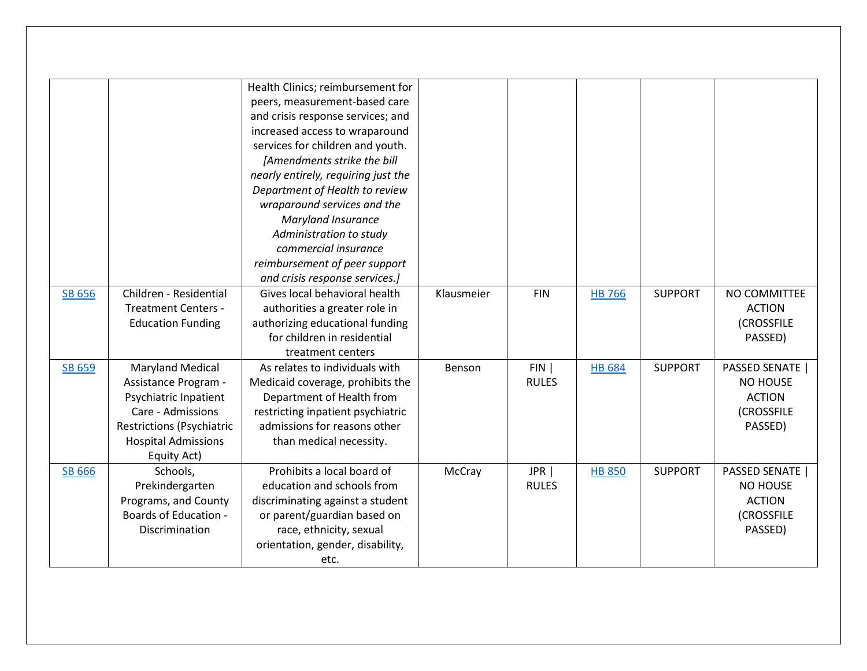|        |                                  | Health Clinics; reimbursement for   |            |              |               |                |                        |
|--------|----------------------------------|-------------------------------------|------------|--------------|---------------|----------------|------------------------|
|        |                                  | peers, measurement-based care       |            |              |               |                |                        |
|        |                                  | and crisis response services; and   |            |              |               |                |                        |
|        |                                  | increased access to wraparound      |            |              |               |                |                        |
|        |                                  | services for children and youth.    |            |              |               |                |                        |
|        |                                  | [Amendments strike the bill         |            |              |               |                |                        |
|        |                                  | nearly entirely, requiring just the |            |              |               |                |                        |
|        |                                  | Department of Health to review      |            |              |               |                |                        |
|        |                                  | wraparound services and the         |            |              |               |                |                        |
|        |                                  | Maryland Insurance                  |            |              |               |                |                        |
|        |                                  | Administration to study             |            |              |               |                |                        |
|        |                                  | commercial insurance                |            |              |               |                |                        |
|        |                                  | reimbursement of peer support       |            |              |               |                |                        |
|        |                                  | and crisis response services.]      |            |              |               |                |                        |
| SB 656 | Children - Residential           | Gives local behavioral health       | Klausmeier | <b>FIN</b>   | <b>HB 766</b> | <b>SUPPORT</b> | NO COMMITTEE           |
|        | <b>Treatment Centers -</b>       | authorities a greater role in       |            |              |               |                | <b>ACTION</b>          |
|        | <b>Education Funding</b>         | authorizing educational funding     |            |              |               |                | (CROSSFILE             |
|        |                                  | for children in residential         |            |              |               |                | PASSED)                |
|        |                                  | treatment centers                   |            |              |               |                |                        |
| SB 659 | <b>Maryland Medical</b>          | As relates to individuals with      | Benson     | FIN          | <b>HB 684</b> | <b>SUPPORT</b> | <b>PASSED SENATE  </b> |
|        | Assistance Program -             | Medicaid coverage, prohibits the    |            | <b>RULES</b> |               |                | <b>NO HOUSE</b>        |
|        | Psychiatric Inpatient            | Department of Health from           |            |              |               |                | <b>ACTION</b>          |
|        | Care - Admissions                | restricting inpatient psychiatric   |            |              |               |                | (CROSSFILE             |
|        | <b>Restrictions (Psychiatric</b> | admissions for reasons other        |            |              |               |                | PASSED)                |
|        | <b>Hospital Admissions</b>       | than medical necessity.             |            |              |               |                |                        |
|        | Equity Act)                      |                                     |            |              |               |                |                        |
| SB 666 | Schools,                         | Prohibits a local board of          | McCray     | JPR          | <b>HB 850</b> | <b>SUPPORT</b> | PASSED SENATE          |
|        | Prekindergarten                  | education and schools from          |            | <b>RULES</b> |               |                | NO HOUSE               |
|        | Programs, and County             | discriminating against a student    |            |              |               |                | <b>ACTION</b>          |
|        | <b>Boards of Education -</b>     | or parent/guardian based on         |            |              |               |                | <b>(CROSSFILE</b>      |
|        | Discrimination                   | race, ethnicity, sexual             |            |              |               |                | PASSED)                |
|        |                                  | orientation, gender, disability,    |            |              |               |                |                        |
|        |                                  | etc.                                |            |              |               |                |                        |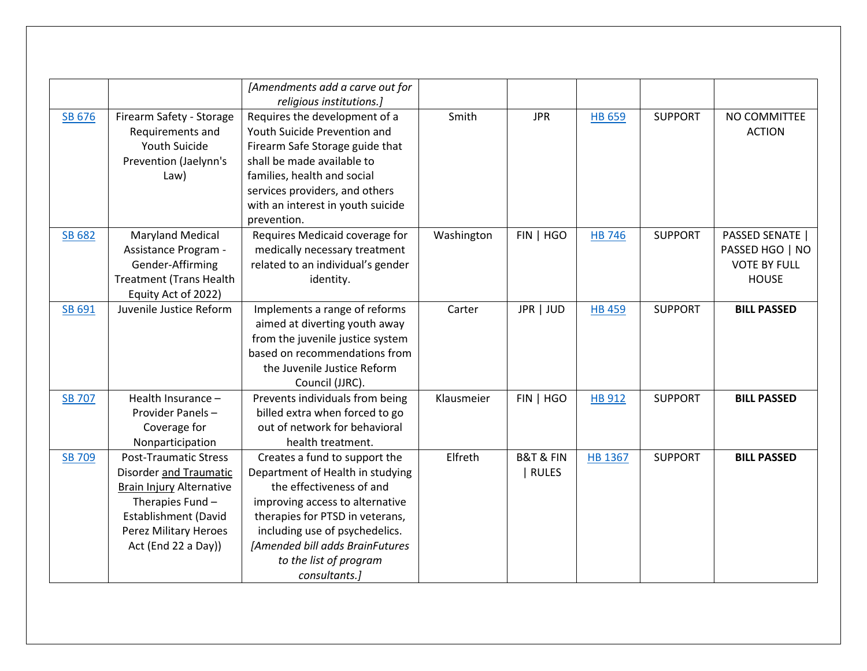|               |                                                                                                                                                                                                     | [Amendments add a carve out for<br>religious institutions.]                                                                                                                                                                                                                         |            |                                          |               |                |                                                                           |
|---------------|-----------------------------------------------------------------------------------------------------------------------------------------------------------------------------------------------------|-------------------------------------------------------------------------------------------------------------------------------------------------------------------------------------------------------------------------------------------------------------------------------------|------------|------------------------------------------|---------------|----------------|---------------------------------------------------------------------------|
| SB 676        | Firearm Safety - Storage<br>Requirements and<br>Youth Suicide<br>Prevention (Jaelynn's<br>Law)                                                                                                      | Requires the development of a<br>Youth Suicide Prevention and<br>Firearm Safe Storage guide that<br>shall be made available to<br>families, health and social<br>services providers, and others<br>with an interest in youth suicide<br>prevention.                                 | Smith      | <b>JPR</b>                               | <b>HB 659</b> | <b>SUPPORT</b> | NO COMMITTEE<br><b>ACTION</b>                                             |
| <b>SB 682</b> | <b>Maryland Medical</b><br>Assistance Program -<br>Gender-Affirming<br><b>Treatment (Trans Health</b><br>Equity Act of 2022)                                                                        | Requires Medicaid coverage for<br>medically necessary treatment<br>related to an individual's gender<br>identity.                                                                                                                                                                   | Washington | FIN   HGO                                | <b>HB 746</b> | <b>SUPPORT</b> | PASSED SENATE  <br>PASSED HGO   NO<br><b>VOTE BY FULL</b><br><b>HOUSE</b> |
| SB 691        | Juvenile Justice Reform                                                                                                                                                                             | Implements a range of reforms<br>aimed at diverting youth away<br>from the juvenile justice system<br>based on recommendations from<br>the Juvenile Justice Reform<br>Council (JJRC).                                                                                               | Carter     | JPR   JUD                                | <b>HB 459</b> | <b>SUPPORT</b> | <b>BILL PASSED</b>                                                        |
| <b>SB 707</b> | Health Insurance -<br>Provider Panels-<br>Coverage for<br>Nonparticipation                                                                                                                          | Prevents individuals from being<br>billed extra when forced to go<br>out of network for behavioral<br>health treatment.                                                                                                                                                             | Klausmeier | FIN   HGO                                | HB 912        | <b>SUPPORT</b> | <b>BILL PASSED</b>                                                        |
| <b>SB 709</b> | <b>Post-Traumatic Stress</b><br><b>Disorder and Traumatic</b><br><b>Brain Injury Alternative</b><br>Therapies Fund -<br><b>Establishment (David</b><br>Perez Military Heroes<br>Act (End 22 a Day)) | Creates a fund to support the<br>Department of Health in studying<br>the effectiveness of and<br>improving access to alternative<br>therapies for PTSD in veterans,<br>including use of psychedelics.<br>[Amended bill adds BrainFutures<br>to the list of program<br>consultants.] | Elfreth    | <b>B&amp;T &amp; FIN</b><br><b>RULES</b> | HB 1367       | <b>SUPPORT</b> | <b>BILL PASSED</b>                                                        |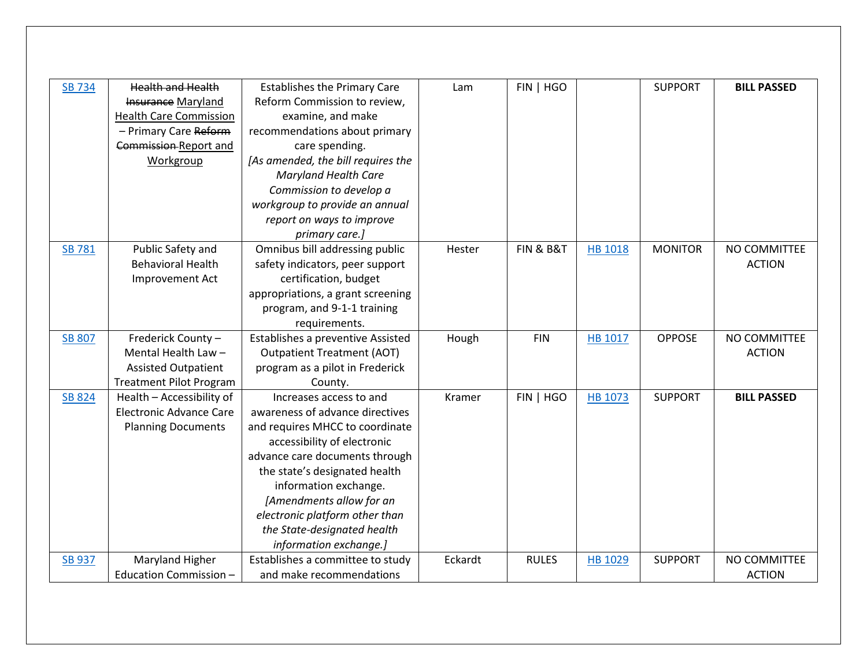| <b>SB 734</b> | <b>Health and Health</b>       | <b>Establishes the Primary Care</b> | Lam           | FIN   HGO    |                | <b>SUPPORT</b> | <b>BILL PASSED</b> |
|---------------|--------------------------------|-------------------------------------|---------------|--------------|----------------|----------------|--------------------|
|               | Insurance Maryland             | Reform Commission to review,        |               |              |                |                |                    |
|               | <b>Health Care Commission</b>  | examine, and make                   |               |              |                |                |                    |
|               | - Primary Care Reform          | recommendations about primary       |               |              |                |                |                    |
|               | Commission-Report and          | care spending.                      |               |              |                |                |                    |
|               | Workgroup                      | [As amended, the bill requires the  |               |              |                |                |                    |
|               |                                | <b>Maryland Health Care</b>         |               |              |                |                |                    |
|               |                                | Commission to develop a             |               |              |                |                |                    |
|               |                                | workgroup to provide an annual      |               |              |                |                |                    |
|               |                                | report on ways to improve           |               |              |                |                |                    |
|               |                                | primary care.]                      |               |              |                |                |                    |
| <b>SB 781</b> | Public Safety and              | Omnibus bill addressing public      | Hester        | FIN & B&T    | <b>HB 1018</b> | <b>MONITOR</b> | NO COMMITTEE       |
|               | <b>Behavioral Health</b>       | safety indicators, peer support     |               |              |                |                | <b>ACTION</b>      |
|               | Improvement Act                | certification, budget               |               |              |                |                |                    |
|               |                                | appropriations, a grant screening   |               |              |                |                |                    |
|               |                                | program, and 9-1-1 training         |               |              |                |                |                    |
|               |                                | requirements.                       |               |              |                |                |                    |
| <b>SB 807</b> | Frederick County -             | Establishes a preventive Assisted   | Hough         | <b>FIN</b>   | HB 1017        | <b>OPPOSE</b>  | NO COMMITTEE       |
|               | Mental Health Law-             | <b>Outpatient Treatment (AOT)</b>   |               |              |                |                | <b>ACTION</b>      |
|               | <b>Assisted Outpatient</b>     | program as a pilot in Frederick     |               |              |                |                |                    |
|               | <b>Treatment Pilot Program</b> | County.                             |               |              |                |                |                    |
| <b>SB 824</b> | Health - Accessibility of      | Increases access to and             | <b>Kramer</b> | FIN   HGO    | HB 1073        | <b>SUPPORT</b> | <b>BILL PASSED</b> |
|               | <b>Electronic Advance Care</b> | awareness of advance directives     |               |              |                |                |                    |
|               | <b>Planning Documents</b>      | and requires MHCC to coordinate     |               |              |                |                |                    |
|               |                                | accessibility of electronic         |               |              |                |                |                    |
|               |                                | advance care documents through      |               |              |                |                |                    |
|               |                                | the state's designated health       |               |              |                |                |                    |
|               |                                | information exchange.               |               |              |                |                |                    |
|               |                                | [Amendments allow for an            |               |              |                |                |                    |
|               |                                | electronic platform other than      |               |              |                |                |                    |
|               |                                | the State-designated health         |               |              |                |                |                    |
|               |                                | information exchange.]              |               |              |                |                |                    |
| <b>SB 937</b> | Maryland Higher                | Establishes a committee to study    | Eckardt       | <b>RULES</b> | <b>HB 1029</b> | <b>SUPPORT</b> | NO COMMITTEE       |
|               | Education Commission -         | and make recommendations            |               |              |                |                | <b>ACTION</b>      |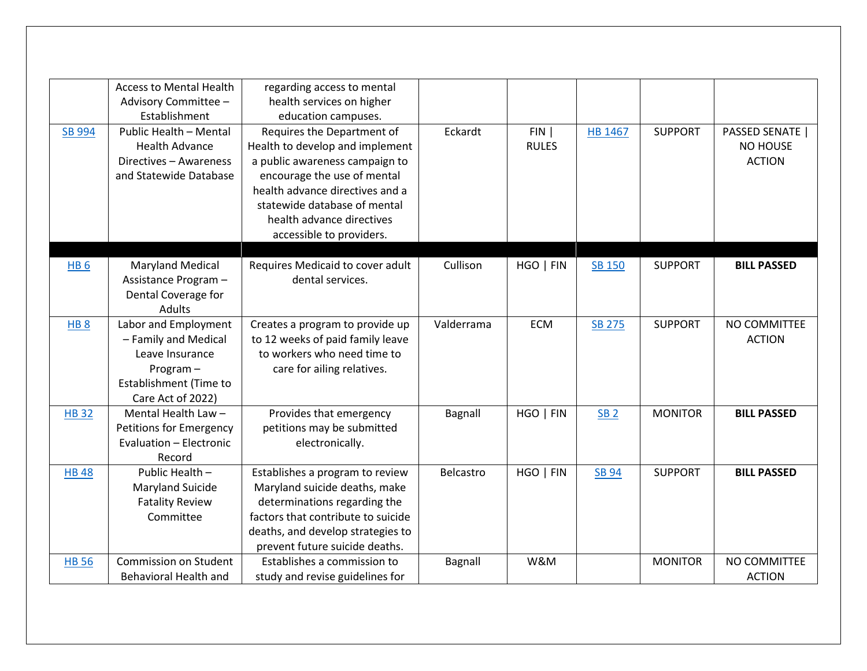|                 | <b>Access to Mental Health</b><br>Advisory Committee - | regarding access to mental<br>health services on higher |            |              |                 |                |                        |
|-----------------|--------------------------------------------------------|---------------------------------------------------------|------------|--------------|-----------------|----------------|------------------------|
|                 | Establishment                                          | education campuses.                                     |            |              |                 |                |                        |
| SB 994          | Public Health - Mental                                 | Requires the Department of                              | Eckardt    | FIN          | HB 1467         | <b>SUPPORT</b> | <b>PASSED SENATE  </b> |
|                 | <b>Health Advance</b>                                  | Health to develop and implement                         |            | <b>RULES</b> |                 |                | <b>NO HOUSE</b>        |
|                 | Directives - Awareness                                 | a public awareness campaign to                          |            |              |                 |                | <b>ACTION</b>          |
|                 | and Statewide Database                                 | encourage the use of mental                             |            |              |                 |                |                        |
|                 |                                                        | health advance directives and a                         |            |              |                 |                |                        |
|                 |                                                        | statewide database of mental                            |            |              |                 |                |                        |
|                 |                                                        | health advance directives                               |            |              |                 |                |                        |
|                 |                                                        | accessible to providers.                                |            |              |                 |                |                        |
|                 |                                                        |                                                         |            |              |                 |                |                        |
| HB <sub>6</sub> | <b>Maryland Medical</b>                                | Requires Medicaid to cover adult                        | Cullison   | HGO   FIN    | <b>SB 150</b>   | <b>SUPPORT</b> | <b>BILL PASSED</b>     |
|                 | Assistance Program -                                   | dental services.                                        |            |              |                 |                |                        |
|                 | Dental Coverage for                                    |                                                         |            |              |                 |                |                        |
|                 | <b>Adults</b>                                          |                                                         |            |              |                 |                |                        |
| HB <sub>8</sub> | Labor and Employment                                   | Creates a program to provide up                         | Valderrama | <b>ECM</b>   | <b>SB 275</b>   | <b>SUPPORT</b> | NO COMMITTEE           |
|                 | - Family and Medical                                   | to 12 weeks of paid family leave                        |            |              |                 |                | <b>ACTION</b>          |
|                 | Leave Insurance                                        | to workers who need time to                             |            |              |                 |                |                        |
|                 | Program-                                               | care for ailing relatives.                              |            |              |                 |                |                        |
|                 | Establishment (Time to                                 |                                                         |            |              |                 |                |                        |
|                 | Care Act of 2022)                                      |                                                         |            |              |                 |                |                        |
| <b>HB32</b>     | Mental Health Law -                                    | Provides that emergency                                 | Bagnall    | HGO   FIN    | SB <sub>2</sub> | <b>MONITOR</b> | <b>BILL PASSED</b>     |
|                 | Petitions for Emergency                                | petitions may be submitted                              |            |              |                 |                |                        |
|                 | Evaluation - Electronic                                | electronically.                                         |            |              |                 |                |                        |
|                 | Record                                                 |                                                         |            |              |                 |                |                        |
| <b>HB48</b>     | Public Health -                                        | Establishes a program to review                         | Belcastro  | HGO   FIN    | <b>SB 94</b>    | <b>SUPPORT</b> | <b>BILL PASSED</b>     |
|                 | Maryland Suicide                                       | Maryland suicide deaths, make                           |            |              |                 |                |                        |
|                 | <b>Fatality Review</b>                                 | determinations regarding the                            |            |              |                 |                |                        |
|                 | Committee                                              | factors that contribute to suicide                      |            |              |                 |                |                        |
|                 |                                                        | deaths, and develop strategies to                       |            |              |                 |                |                        |
|                 |                                                        | prevent future suicide deaths.                          |            |              |                 |                |                        |
| <b>HB 56</b>    | Commission on Student                                  | Establishes a commission to                             | Bagnall    | W&M          |                 | <b>MONITOR</b> | NO COMMITTEE           |
|                 | <b>Behavioral Health and</b>                           | study and revise guidelines for                         |            |              |                 |                | <b>ACTION</b>          |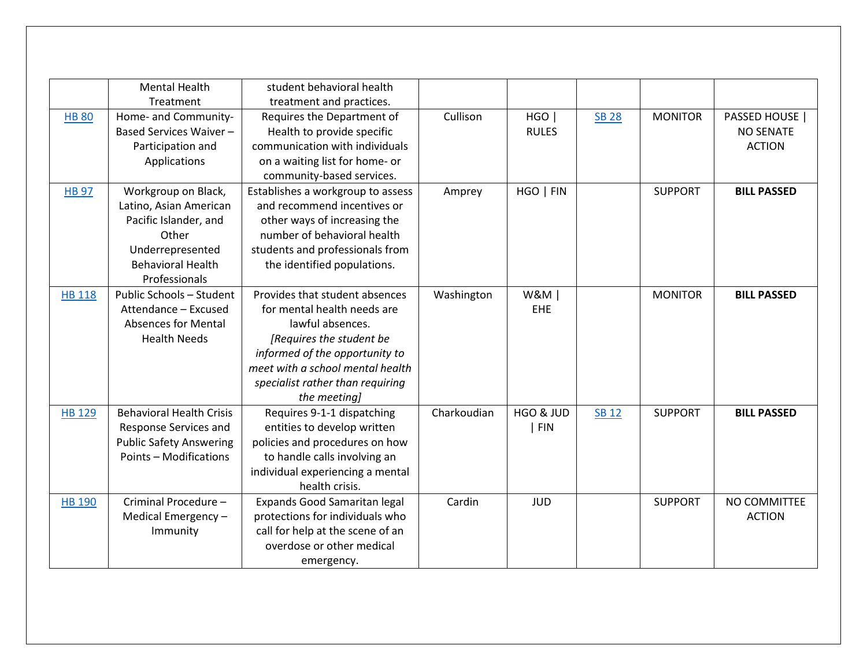|               | <b>Mental Health</b>            | student behavioral health         |             |                |              |                |                    |
|---------------|---------------------------------|-----------------------------------|-------------|----------------|--------------|----------------|--------------------|
|               | Treatment                       | treatment and practices.          |             |                |              |                |                    |
| <b>HB 80</b>  | Home- and Community-            | Requires the Department of        | Cullison    | HGO            | <b>SB 28</b> | <b>MONITOR</b> | PASSED HOUSE       |
|               | Based Services Waiver-          | Health to provide specific        |             | <b>RULES</b>   |              |                | <b>NO SENATE</b>   |
|               | Participation and               | communication with individuals    |             |                |              |                | <b>ACTION</b>      |
|               | Applications                    | on a waiting list for home- or    |             |                |              |                |                    |
|               |                                 | community-based services.         |             |                |              |                |                    |
| <b>HB 97</b>  | Workgroup on Black,             | Establishes a workgroup to assess | Amprey      | HGO   FIN      |              | <b>SUPPORT</b> | <b>BILL PASSED</b> |
|               | Latino, Asian American          | and recommend incentives or       |             |                |              |                |                    |
|               | Pacific Islander, and           | other ways of increasing the      |             |                |              |                |                    |
|               | Other                           | number of behavioral health       |             |                |              |                |                    |
|               | Underrepresented                | students and professionals from   |             |                |              |                |                    |
|               | <b>Behavioral Health</b>        | the identified populations.       |             |                |              |                |                    |
|               | Professionals                   |                                   |             |                |              |                |                    |
| <b>HB 118</b> | Public Schools - Student        | Provides that student absences    | Washington  | <b>W&amp;M</b> |              | <b>MONITOR</b> | <b>BILL PASSED</b> |
|               | Attendance - Excused            | for mental health needs are       |             | EHE            |              |                |                    |
|               | <b>Absences for Mental</b>      | lawful absences.                  |             |                |              |                |                    |
|               | <b>Health Needs</b>             | [Requires the student be          |             |                |              |                |                    |
|               |                                 | informed of the opportunity to    |             |                |              |                |                    |
|               |                                 | meet with a school mental health  |             |                |              |                |                    |
|               |                                 | specialist rather than requiring  |             |                |              |                |                    |
|               |                                 | the meeting]                      |             |                |              |                |                    |
| <b>HB 129</b> | <b>Behavioral Health Crisis</b> | Requires 9-1-1 dispatching        | Charkoudian | HGO & JUD      | <b>SB 12</b> | <b>SUPPORT</b> | <b>BILL PASSED</b> |
|               | Response Services and           | entities to develop written       |             | <b>FIN</b>     |              |                |                    |
|               | <b>Public Safety Answering</b>  | policies and procedures on how    |             |                |              |                |                    |
|               | <b>Points - Modifications</b>   | to handle calls involving an      |             |                |              |                |                    |
|               |                                 | individual experiencing a mental  |             |                |              |                |                    |
|               |                                 | health crisis.                    |             |                |              |                |                    |
| <b>HB 190</b> | Criminal Procedure -            | Expands Good Samaritan legal      | Cardin      | <b>JUD</b>     |              | <b>SUPPORT</b> | NO COMMITTEE       |
|               | Medical Emergency -             | protections for individuals who   |             |                |              |                | <b>ACTION</b>      |
|               | Immunity                        | call for help at the scene of an  |             |                |              |                |                    |
|               |                                 | overdose or other medical         |             |                |              |                |                    |
|               |                                 | emergency.                        |             |                |              |                |                    |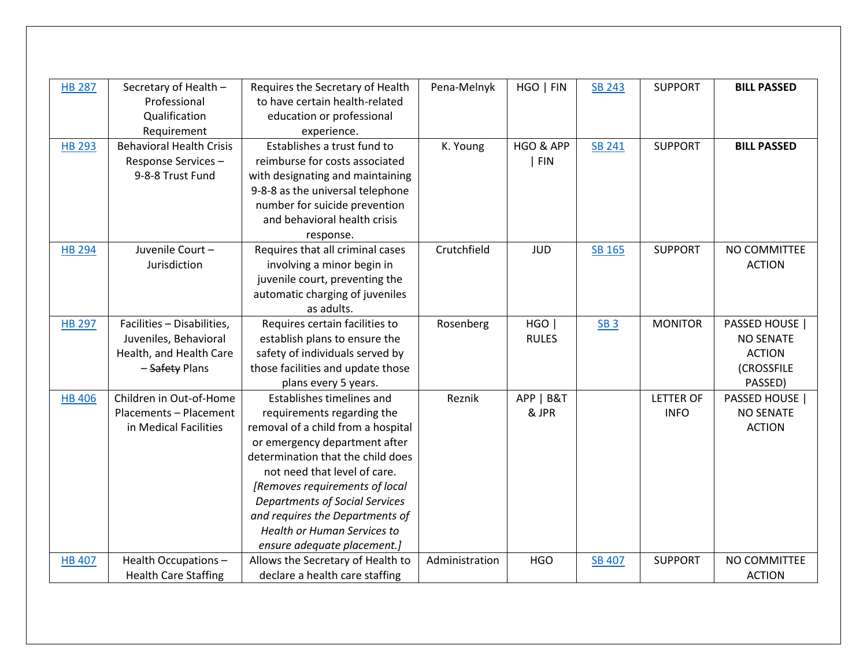| <b>HB 287</b> | Secretary of Health -<br>Professional | Requires the Secretary of Health<br>to have certain health-related | Pena-Melnyk    | HGO   FIN    | <b>SB 243</b> | <b>SUPPORT</b>   | <b>BILL PASSED</b> |
|---------------|---------------------------------------|--------------------------------------------------------------------|----------------|--------------|---------------|------------------|--------------------|
|               | Qualification                         | education or professional                                          |                |              |               |                  |                    |
|               | Requirement                           | experience.                                                        |                |              |               |                  |                    |
| <b>HB 293</b> | <b>Behavioral Health Crisis</b>       | Establishes a trust fund to                                        | K. Young       | HGO & APP    | SB 241        | <b>SUPPORT</b>   | <b>BILL PASSED</b> |
|               | Response Services-                    | reimburse for costs associated                                     |                | <b>FIN</b>   |               |                  |                    |
|               | 9-8-8 Trust Fund                      | with designating and maintaining                                   |                |              |               |                  |                    |
|               |                                       | 9-8-8 as the universal telephone                                   |                |              |               |                  |                    |
|               |                                       | number for suicide prevention                                      |                |              |               |                  |                    |
|               |                                       | and behavioral health crisis                                       |                |              |               |                  |                    |
|               |                                       | response.                                                          |                |              |               |                  |                    |
| <b>HB 294</b> | Juvenile Court -                      | Requires that all criminal cases                                   | Crutchfield    | <b>JUD</b>   | SB 165        | <b>SUPPORT</b>   | NO COMMITTEE       |
|               | Jurisdiction                          | involving a minor begin in                                         |                |              |               |                  | <b>ACTION</b>      |
|               |                                       | juvenile court, preventing the                                     |                |              |               |                  |                    |
|               |                                       | automatic charging of juveniles                                    |                |              |               |                  |                    |
|               |                                       | as adults.                                                         |                |              |               |                  |                    |
| <b>HB 297</b> | Facilities - Disabilities,            | Requires certain facilities to                                     | Rosenberg      | HGO          | <b>SB3</b>    | <b>MONITOR</b>   | PASSED HOUSE       |
|               | Juveniles, Behavioral                 | establish plans to ensure the                                      |                | <b>RULES</b> |               |                  | <b>NO SENATE</b>   |
|               | Health, and Health Care               | safety of individuals served by                                    |                |              |               |                  | <b>ACTION</b>      |
|               | - Safety Plans                        | those facilities and update those                                  |                |              |               |                  | (CROSSFILE         |
|               |                                       | plans every 5 years.                                               |                |              |               |                  | PASSED)            |
| <b>HB 406</b> | Children in Out-of-Home               | Establishes timelines and                                          | Reznik         | APP   B&T    |               | <b>LETTER OF</b> | PASSED HOUSE       |
|               | Placements - Placement                | requirements regarding the                                         |                | & JPR        |               | <b>INFO</b>      | <b>NO SENATE</b>   |
|               | in Medical Facilities                 | removal of a child from a hospital                                 |                |              |               |                  | <b>ACTION</b>      |
|               |                                       | or emergency department after                                      |                |              |               |                  |                    |
|               |                                       | determination that the child does                                  |                |              |               |                  |                    |
|               |                                       | not need that level of care.                                       |                |              |               |                  |                    |
|               |                                       | [Removes requirements of local                                     |                |              |               |                  |                    |
|               |                                       | <b>Departments of Social Services</b>                              |                |              |               |                  |                    |
|               |                                       | and requires the Departments of                                    |                |              |               |                  |                    |
|               |                                       | <b>Health or Human Services to</b>                                 |                |              |               |                  |                    |
|               |                                       | ensure adequate placement.]                                        |                |              |               |                  |                    |
| <b>HB 407</b> | Health Occupations-                   | Allows the Secretary of Health to                                  | Administration | <b>HGO</b>   | <b>SB 407</b> | <b>SUPPORT</b>   | NO COMMITTEE       |
|               | <b>Health Care Staffing</b>           | declare a health care staffing                                     |                |              |               |                  | <b>ACTION</b>      |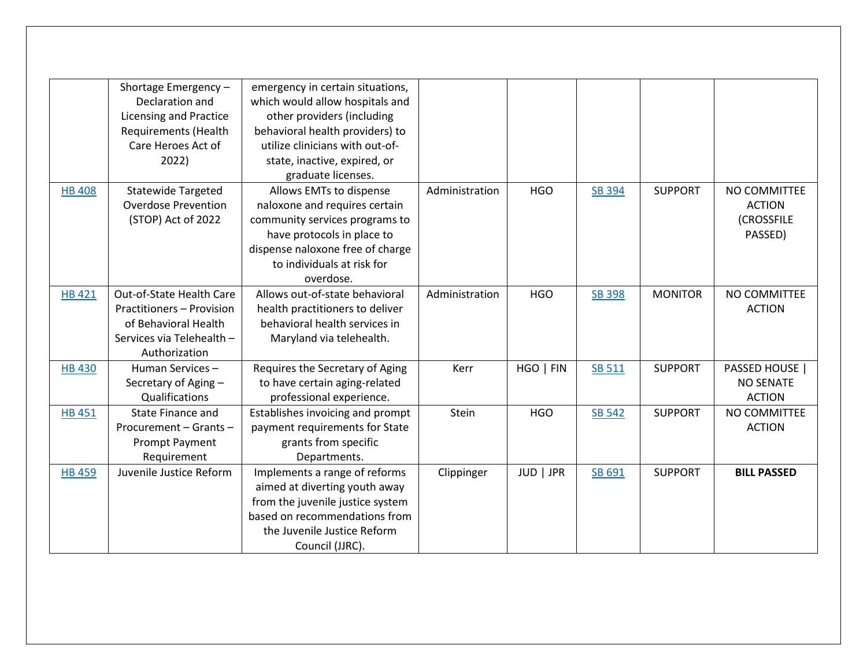|               | Shortage Emergency -<br>Declaration and<br><b>Licensing and Practice</b><br><b>Requirements (Health</b><br>Care Heroes Act of<br>2022) | emergency in certain situations,<br>which would allow hospitals and<br>other providers (including<br>behavioral health providers) to<br>utilize clinicians with out-of-<br>state, inactive, expired, or                       |                |            |               |                |                                                        |
|---------------|----------------------------------------------------------------------------------------------------------------------------------------|-------------------------------------------------------------------------------------------------------------------------------------------------------------------------------------------------------------------------------|----------------|------------|---------------|----------------|--------------------------------------------------------|
| <b>HB 408</b> | <b>Statewide Targeted</b><br><b>Overdose Prevention</b><br>(STOP) Act of 2022                                                          | graduate licenses.<br>Allows EMTs to dispense<br>naloxone and requires certain<br>community services programs to<br>have protocols in place to<br>dispense naloxone free of charge<br>to individuals at risk for<br>overdose. | Administration | <b>HGO</b> | <b>SB 394</b> | <b>SUPPORT</b> | NO COMMITTEE<br><b>ACTION</b><br>(CROSSFILE<br>PASSED) |
| <b>HB 421</b> | Out-of-State Health Care<br><b>Practitioners - Provision</b><br>of Behavioral Health<br>Services via Telehealth -<br>Authorization     | Allows out-of-state behavioral<br>health practitioners to deliver<br>behavioral health services in<br>Maryland via telehealth.                                                                                                | Administration | <b>HGO</b> | <b>SB 398</b> | <b>MONITOR</b> | NO COMMITTEE<br><b>ACTION</b>                          |
| <b>HB430</b>  | Human Services-<br>Secretary of Aging -<br>Qualifications                                                                              | Requires the Secretary of Aging<br>to have certain aging-related<br>professional experience.                                                                                                                                  | Kerr           | HGO   FIN  | SB 511        | <b>SUPPORT</b> | PASSED HOUSE<br><b>NO SENATE</b><br><b>ACTION</b>      |
| <b>HB 451</b> | State Finance and<br>Procurement - Grants -<br><b>Prompt Payment</b><br>Requirement                                                    | Establishes invoicing and prompt<br>payment requirements for State<br>grants from specific<br>Departments.                                                                                                                    | Stein          | <b>HGO</b> | SB 542        | <b>SUPPORT</b> | NO COMMITTEE<br><b>ACTION</b>                          |
| <b>HB 459</b> | Juvenile Justice Reform                                                                                                                | Implements a range of reforms<br>aimed at diverting youth away<br>from the juvenile justice system<br>based on recommendations from<br>the Juvenile Justice Reform<br>Council (JJRC).                                         | Clippinger     | JUD   JPR  | SB 691        | <b>SUPPORT</b> | <b>BILL PASSED</b>                                     |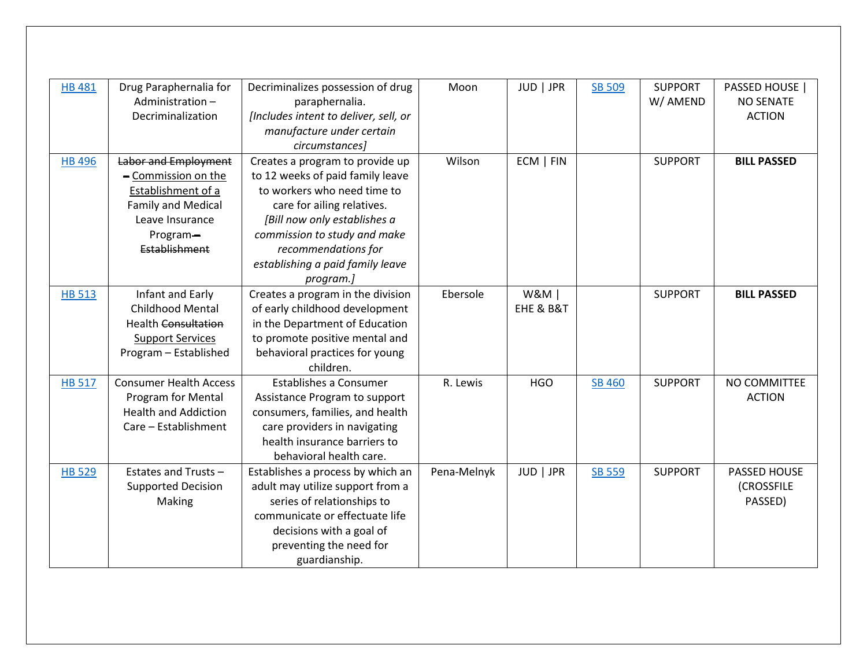| <b>HB 481</b> | Drug Paraphernalia for        | Decriminalizes possession of drug     | Moon        | JUD   JPR      | <b>SB 509</b> | <b>SUPPORT</b> | PASSED HOUSE       |
|---------------|-------------------------------|---------------------------------------|-------------|----------------|---------------|----------------|--------------------|
|               | Administration-               | paraphernalia.                        |             |                |               | W/ AMEND       | <b>NO SENATE</b>   |
|               |                               |                                       |             |                |               |                |                    |
|               | Decriminalization             | [Includes intent to deliver, sell, or |             |                |               |                | <b>ACTION</b>      |
|               |                               | manufacture under certain             |             |                |               |                |                    |
|               |                               | circumstances]                        |             |                |               |                |                    |
| <b>HB 496</b> | Labor and Employment          | Creates a program to provide up       | Wilson      | ECM   FIN      |               | <b>SUPPORT</b> | <b>BILL PASSED</b> |
|               | - Commission on the           | to 12 weeks of paid family leave      |             |                |               |                |                    |
|               | Establishment of a            | to workers who need time to           |             |                |               |                |                    |
|               | <b>Family and Medical</b>     | care for ailing relatives.            |             |                |               |                |                    |
|               | Leave Insurance               | [Bill now only establishes a          |             |                |               |                |                    |
|               | Program-                      | commission to study and make          |             |                |               |                |                    |
|               | Establishment                 | recommendations for                   |             |                |               |                |                    |
|               |                               | establishing a paid family leave      |             |                |               |                |                    |
|               |                               | program.]                             |             |                |               |                |                    |
| <b>HB 513</b> | Infant and Early              | Creates a program in the division     | Ebersole    | <b>W&amp;M</b> |               | <b>SUPPORT</b> | <b>BILL PASSED</b> |
|               | <b>Childhood Mental</b>       | of early childhood development        |             | EHE & B&T      |               |                |                    |
|               | <b>Health Consultation</b>    | in the Department of Education        |             |                |               |                |                    |
|               | <b>Support Services</b>       | to promote positive mental and        |             |                |               |                |                    |
|               | Program - Established         | behavioral practices for young        |             |                |               |                |                    |
|               |                               | children.                             |             |                |               |                |                    |
| <b>HB 517</b> | <b>Consumer Health Access</b> | <b>Establishes a Consumer</b>         | R. Lewis    | <b>HGO</b>     | <b>SB 460</b> | <b>SUPPORT</b> | NO COMMITTEE       |
|               | Program for Mental            | Assistance Program to support         |             |                |               |                | <b>ACTION</b>      |
|               | <b>Health and Addiction</b>   | consumers, families, and health       |             |                |               |                |                    |
|               | Care - Establishment          | care providers in navigating          |             |                |               |                |                    |
|               |                               | health insurance barriers to          |             |                |               |                |                    |
|               |                               | behavioral health care.               |             |                |               |                |                    |
| <b>HB 529</b> | Estates and Trusts -          | Establishes a process by which an     | Pena-Melnyk | JUD   JPR      | SB 559        | <b>SUPPORT</b> | PASSED HOUSE       |
|               | <b>Supported Decision</b>     | adult may utilize support from a      |             |                |               |                | <b>(CROSSFILE</b>  |
|               | Making                        | series of relationships to            |             |                |               |                | PASSED)            |
|               |                               | communicate or effectuate life        |             |                |               |                |                    |
|               |                               | decisions with a goal of              |             |                |               |                |                    |
|               |                               | preventing the need for               |             |                |               |                |                    |
|               |                               | guardianship.                         |             |                |               |                |                    |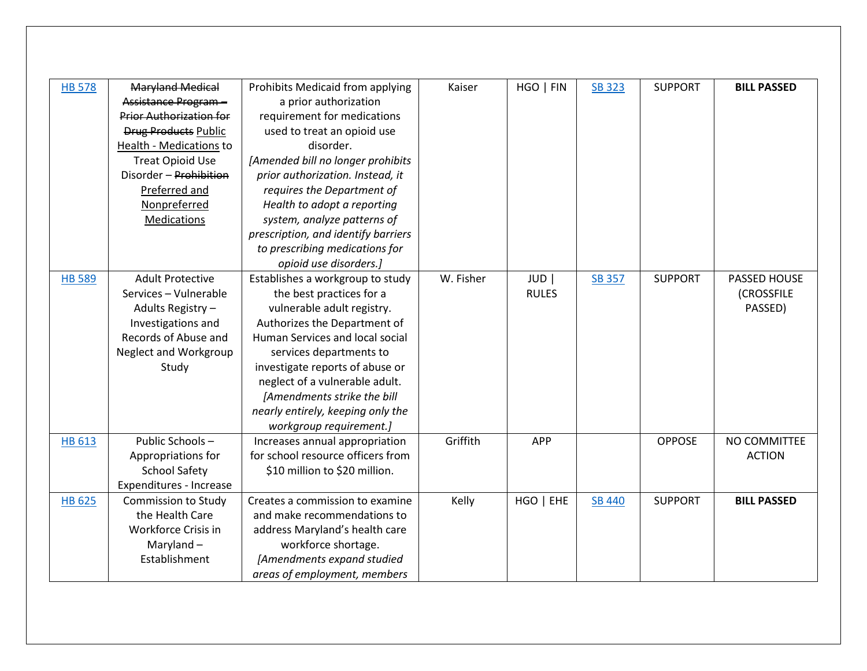| <b>HB 578</b> | <b>Maryland Medical</b>        | Prohibits Medicaid from applying    | Kaiser    | HGO   FIN    | <b>SB 323</b> | <b>SUPPORT</b> | <b>BILL PASSED</b> |
|---------------|--------------------------------|-------------------------------------|-----------|--------------|---------------|----------------|--------------------|
|               | Assistance Program -           | a prior authorization               |           |              |               |                |                    |
|               | <b>Prior Authorization for</b> | requirement for medications         |           |              |               |                |                    |
|               | <b>Drug Products Public</b>    | used to treat an opioid use         |           |              |               |                |                    |
|               | Health - Medications to        | disorder.                           |           |              |               |                |                    |
|               | <b>Treat Opioid Use</b>        | [Amended bill no longer prohibits   |           |              |               |                |                    |
|               | Disorder - Prohibition         | prior authorization. Instead, it    |           |              |               |                |                    |
|               | Preferred and                  | requires the Department of          |           |              |               |                |                    |
|               | Nonpreferred                   | Health to adopt a reporting         |           |              |               |                |                    |
|               | Medications                    | system, analyze patterns of         |           |              |               |                |                    |
|               |                                | prescription, and identify barriers |           |              |               |                |                    |
|               |                                | to prescribing medications for      |           |              |               |                |                    |
|               |                                | opioid use disorders.]              |           |              |               |                |                    |
| <b>HB 589</b> | <b>Adult Protective</b>        | Establishes a workgroup to study    | W. Fisher | <b>JUD</b>   | <b>SB 357</b> | <b>SUPPORT</b> | PASSED HOUSE       |
|               | Services - Vulnerable          | the best practices for a            |           | <b>RULES</b> |               |                | <b>(CROSSFILE</b>  |
|               | Adults Registry -              | vulnerable adult registry.          |           |              |               |                | PASSED)            |
|               | Investigations and             | Authorizes the Department of        |           |              |               |                |                    |
|               | Records of Abuse and           | Human Services and local social     |           |              |               |                |                    |
|               | Neglect and Workgroup          | services departments to             |           |              |               |                |                    |
|               | Study                          | investigate reports of abuse or     |           |              |               |                |                    |
|               |                                | neglect of a vulnerable adult.      |           |              |               |                |                    |
|               |                                | [Amendments strike the bill         |           |              |               |                |                    |
|               |                                | nearly entirely, keeping only the   |           |              |               |                |                    |
|               |                                | workgroup requirement.]             |           |              |               |                |                    |
| <b>HB 613</b> | Public Schools-                | Increases annual appropriation      | Griffith  | <b>APP</b>   |               | <b>OPPOSE</b>  | NO COMMITTEE       |
|               | Appropriations for             | for school resource officers from   |           |              |               |                | <b>ACTION</b>      |
|               | <b>School Safety</b>           | \$10 million to \$20 million.       |           |              |               |                |                    |
|               | Expenditures - Increase        |                                     |           |              |               |                |                    |
| <b>HB 625</b> | <b>Commission to Study</b>     | Creates a commission to examine     | Kelly     | HGO   EHE    | <b>SB 440</b> | <b>SUPPORT</b> | <b>BILL PASSED</b> |
|               | the Health Care                | and make recommendations to         |           |              |               |                |                    |
|               | Workforce Crisis in            | address Maryland's health care      |           |              |               |                |                    |
|               | Maryland $-$                   | workforce shortage.                 |           |              |               |                |                    |
|               | Establishment                  | [Amendments expand studied          |           |              |               |                |                    |
|               |                                | areas of employment, members        |           |              |               |                |                    |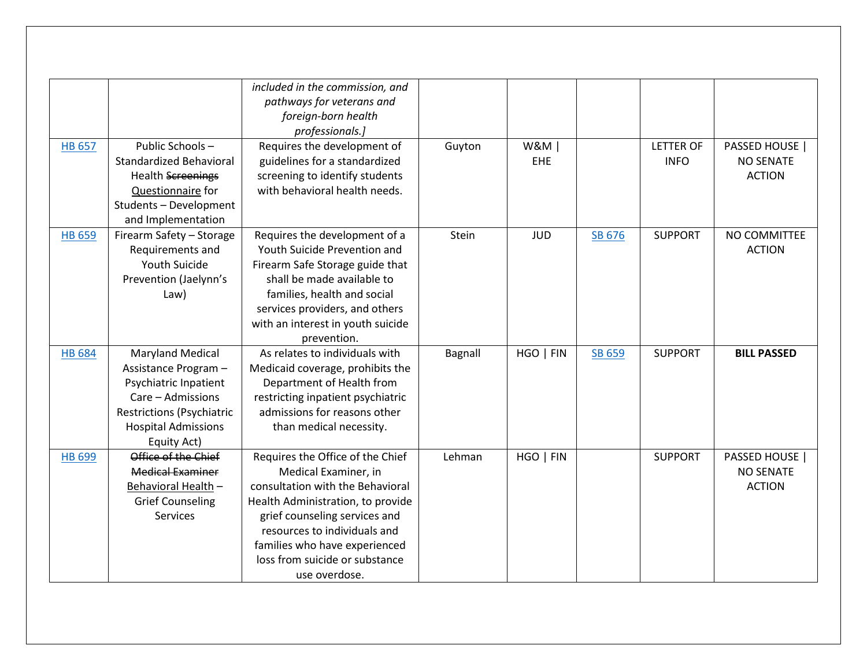|               |                                  | included in the commission, and   |         |                |        |                  |                    |
|---------------|----------------------------------|-----------------------------------|---------|----------------|--------|------------------|--------------------|
|               |                                  | pathways for veterans and         |         |                |        |                  |                    |
|               |                                  |                                   |         |                |        |                  |                    |
|               |                                  | foreign-born health               |         |                |        |                  |                    |
|               |                                  | professionals.]                   |         |                |        |                  |                    |
| <b>HB 657</b> | Public Schools-                  | Requires the development of       | Guyton  | <b>W&amp;M</b> |        | <b>LETTER OF</b> | PASSED HOUSE       |
|               | <b>Standardized Behavioral</b>   | guidelines for a standardized     |         | EHE            |        | <b>INFO</b>      | <b>NO SENATE</b>   |
|               | <b>Health Screenings</b>         | screening to identify students    |         |                |        |                  | <b>ACTION</b>      |
|               | Questionnaire for                | with behavioral health needs.     |         |                |        |                  |                    |
|               | Students - Development           |                                   |         |                |        |                  |                    |
|               | and Implementation               |                                   |         |                |        |                  |                    |
| <b>HB 659</b> | Firearm Safety - Storage         | Requires the development of a     | Stein   | <b>JUD</b>     | SB 676 | <b>SUPPORT</b>   | NO COMMITTEE       |
|               | Requirements and                 | Youth Suicide Prevention and      |         |                |        |                  | <b>ACTION</b>      |
|               | Youth Suicide                    | Firearm Safe Storage guide that   |         |                |        |                  |                    |
|               | Prevention (Jaelynn's            | shall be made available to        |         |                |        |                  |                    |
|               | Law)                             | families, health and social       |         |                |        |                  |                    |
|               |                                  | services providers, and others    |         |                |        |                  |                    |
|               |                                  | with an interest in youth suicide |         |                |        |                  |                    |
|               |                                  | prevention.                       |         |                |        |                  |                    |
| <b>HB 684</b> | <b>Maryland Medical</b>          | As relates to individuals with    | Bagnall | HGO   FIN      | SB 659 | <b>SUPPORT</b>   | <b>BILL PASSED</b> |
|               | Assistance Program -             | Medicaid coverage, prohibits the  |         |                |        |                  |                    |
|               | Psychiatric Inpatient            | Department of Health from         |         |                |        |                  |                    |
|               | Care - Admissions                | restricting inpatient psychiatric |         |                |        |                  |                    |
|               | <b>Restrictions (Psychiatric</b> | admissions for reasons other      |         |                |        |                  |                    |
|               | <b>Hospital Admissions</b>       | than medical necessity.           |         |                |        |                  |                    |
|               | Equity Act)                      |                                   |         |                |        |                  |                    |
| <b>HB 699</b> | Office of the Chief              | Requires the Office of the Chief  | Lehman  | HGO   FIN      |        | <b>SUPPORT</b>   | PASSED HOUSE       |
|               | <b>Medical Examiner</b>          | Medical Examiner, in              |         |                |        |                  | <b>NO SENATE</b>   |
|               | Behavioral Health -              | consultation with the Behavioral  |         |                |        |                  | <b>ACTION</b>      |
|               | <b>Grief Counseling</b>          | Health Administration, to provide |         |                |        |                  |                    |
|               | Services                         | grief counseling services and     |         |                |        |                  |                    |
|               |                                  | resources to individuals and      |         |                |        |                  |                    |
|               |                                  | families who have experienced     |         |                |        |                  |                    |
|               |                                  | loss from suicide or substance    |         |                |        |                  |                    |
|               |                                  | use overdose.                     |         |                |        |                  |                    |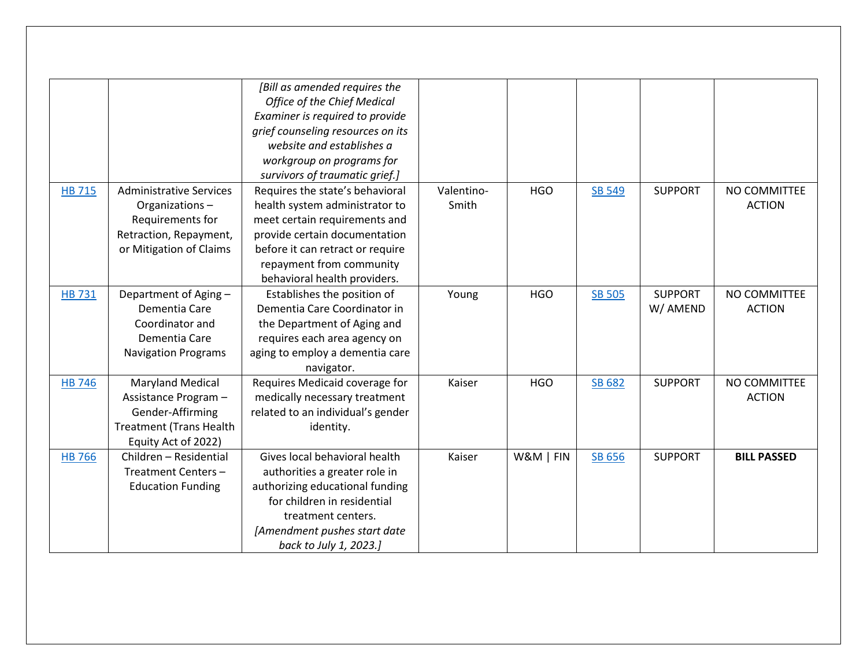|               |                                | [Bill as amended requires the      |            |            |               |                |                    |
|---------------|--------------------------------|------------------------------------|------------|------------|---------------|----------------|--------------------|
|               |                                | <b>Office of the Chief Medical</b> |            |            |               |                |                    |
|               |                                | Examiner is required to provide    |            |            |               |                |                    |
|               |                                | grief counseling resources on its  |            |            |               |                |                    |
|               |                                | website and establishes a          |            |            |               |                |                    |
|               |                                | workgroup on programs for          |            |            |               |                |                    |
|               |                                | survivors of traumatic grief.]     |            |            |               |                |                    |
| <b>HB 715</b> | <b>Administrative Services</b> | Requires the state's behavioral    | Valentino- | <b>HGO</b> | <b>SB 549</b> | <b>SUPPORT</b> | NO COMMITTEE       |
|               | Organizations-                 | health system administrator to     | Smith      |            |               |                | <b>ACTION</b>      |
|               | Requirements for               | meet certain requirements and      |            |            |               |                |                    |
|               | Retraction, Repayment,         | provide certain documentation      |            |            |               |                |                    |
|               | or Mitigation of Claims        | before it can retract or require   |            |            |               |                |                    |
|               |                                | repayment from community           |            |            |               |                |                    |
|               |                                | behavioral health providers.       |            |            |               |                |                    |
| <b>HB 731</b> | Department of Aging -          | Establishes the position of        | Young      | <b>HGO</b> | <b>SB 505</b> | <b>SUPPORT</b> | NO COMMITTEE       |
|               | Dementia Care                  | Dementia Care Coordinator in       |            |            |               | W/ AMEND       | <b>ACTION</b>      |
|               | Coordinator and                | the Department of Aging and        |            |            |               |                |                    |
|               | Dementia Care                  | requires each area agency on       |            |            |               |                |                    |
|               | <b>Navigation Programs</b>     | aging to employ a dementia care    |            |            |               |                |                    |
|               |                                | navigator.                         |            |            |               |                |                    |
| <b>HB 746</b> | <b>Maryland Medical</b>        | Requires Medicaid coverage for     | Kaiser     | <b>HGO</b> | SB 682        | <b>SUPPORT</b> | NO COMMITTEE       |
|               | Assistance Program -           | medically necessary treatment      |            |            |               |                | <b>ACTION</b>      |
|               | Gender-Affirming               | related to an individual's gender  |            |            |               |                |                    |
|               | <b>Treatment (Trans Health</b> | identity.                          |            |            |               |                |                    |
|               | Equity Act of 2022)            |                                    |            |            |               |                |                    |
| <b>HB 766</b> | Children - Residential         | Gives local behavioral health      | Kaiser     | W&M   FIN  | SB 656        | <b>SUPPORT</b> | <b>BILL PASSED</b> |
|               | Treatment Centers-             | authorities a greater role in      |            |            |               |                |                    |
|               | <b>Education Funding</b>       | authorizing educational funding    |            |            |               |                |                    |
|               |                                | for children in residential        |            |            |               |                |                    |
|               |                                | treatment centers.                 |            |            |               |                |                    |
|               |                                | [Amendment pushes start date       |            |            |               |                |                    |
|               |                                | back to July 1, 2023.]             |            |            |               |                |                    |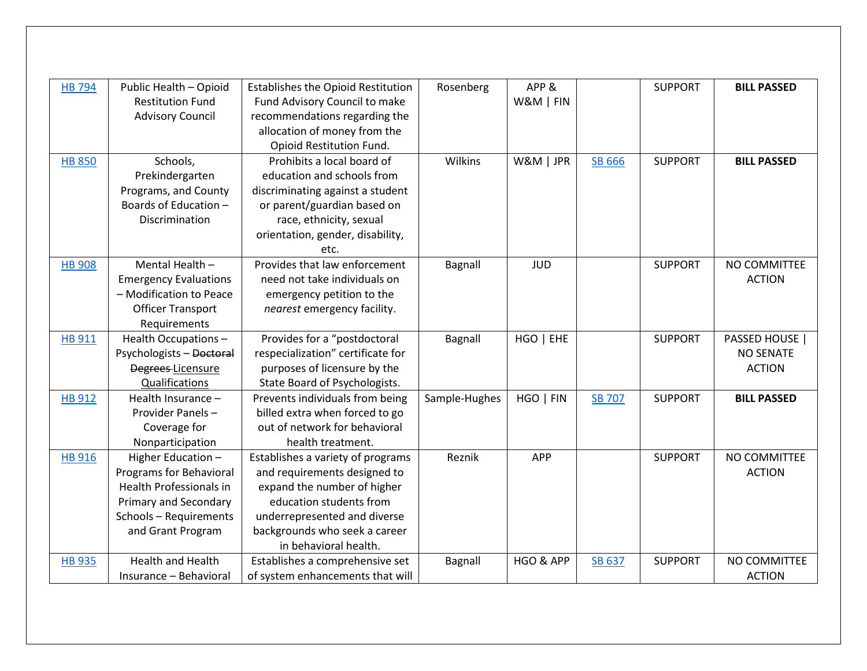| <b>HB 794</b> | Public Health - Opioid         | <b>Establishes the Opioid Restitution</b> | Rosenberg     | APP&       |               | <b>SUPPORT</b> | <b>BILL PASSED</b> |
|---------------|--------------------------------|-------------------------------------------|---------------|------------|---------------|----------------|--------------------|
|               | <b>Restitution Fund</b>        | Fund Advisory Council to make             |               | W&M   FIN  |               |                |                    |
|               | <b>Advisory Council</b>        | recommendations regarding the             |               |            |               |                |                    |
|               |                                | allocation of money from the              |               |            |               |                |                    |
|               |                                | Opioid Restitution Fund.                  |               |            |               |                |                    |
| <b>HB 850</b> | Schools,                       | Prohibits a local board of                | Wilkins       | W&M   JPR  | <b>SB 666</b> | <b>SUPPORT</b> | <b>BILL PASSED</b> |
|               | Prekindergarten                | education and schools from                |               |            |               |                |                    |
|               | Programs, and County           | discriminating against a student          |               |            |               |                |                    |
|               | Boards of Education -          | or parent/guardian based on               |               |            |               |                |                    |
|               | Discrimination                 | race, ethnicity, sexual                   |               |            |               |                |                    |
|               |                                | orientation, gender, disability,          |               |            |               |                |                    |
|               |                                | etc.                                      |               |            |               |                |                    |
| <b>HB 908</b> | Mental Health -                | Provides that law enforcement             | Bagnall       | <b>JUD</b> |               | <b>SUPPORT</b> | NO COMMITTEE       |
|               | <b>Emergency Evaluations</b>   | need not take individuals on              |               |            |               |                | <b>ACTION</b>      |
|               | - Modification to Peace        | emergency petition to the                 |               |            |               |                |                    |
|               | <b>Officer Transport</b>       | nearest emergency facility.               |               |            |               |                |                    |
|               | Requirements                   |                                           |               |            |               |                |                    |
| <b>HB 911</b> | Health Occupations-            | Provides for a "postdoctoral              | Bagnall       | HGO   EHE  |               | <b>SUPPORT</b> | PASSED HOUSE       |
|               | Psychologists - Doctoral       | respecialization" certificate for         |               |            |               |                | <b>NO SENATE</b>   |
|               | Degrees Licensure              | purposes of licensure by the              |               |            |               |                | <b>ACTION</b>      |
|               | Qualifications                 | State Board of Psychologists.             |               |            |               |                |                    |
| <b>HB 912</b> | Health Insurance -             | Prevents individuals from being           | Sample-Hughes | HGO   FIN  | <b>SB 707</b> | <b>SUPPORT</b> | <b>BILL PASSED</b> |
|               | Provider Panels-               | billed extra when forced to go            |               |            |               |                |                    |
|               | Coverage for                   | out of network for behavioral             |               |            |               |                |                    |
|               | Nonparticipation               | health treatment.                         |               |            |               |                |                    |
| <b>HB 916</b> | Higher Education -             | Establishes a variety of programs         | Reznik        | <b>APP</b> |               | <b>SUPPORT</b> | NO COMMITTEE       |
|               | <b>Programs for Behavioral</b> | and requirements designed to              |               |            |               |                | <b>ACTION</b>      |
|               | Health Professionals in        | expand the number of higher               |               |            |               |                |                    |
|               | Primary and Secondary          | education students from                   |               |            |               |                |                    |
|               | Schools - Requirements         | underrepresented and diverse              |               |            |               |                |                    |
|               | and Grant Program              | backgrounds who seek a career             |               |            |               |                |                    |
|               |                                | in behavioral health.                     |               |            |               |                |                    |
| <b>HB 935</b> | <b>Health and Health</b>       | Establishes a comprehensive set           | Bagnall       | HGO & APP  | SB 637        | <b>SUPPORT</b> | NO COMMITTEE       |
|               | Insurance - Behavioral         | of system enhancements that will          |               |            |               |                | <b>ACTION</b>      |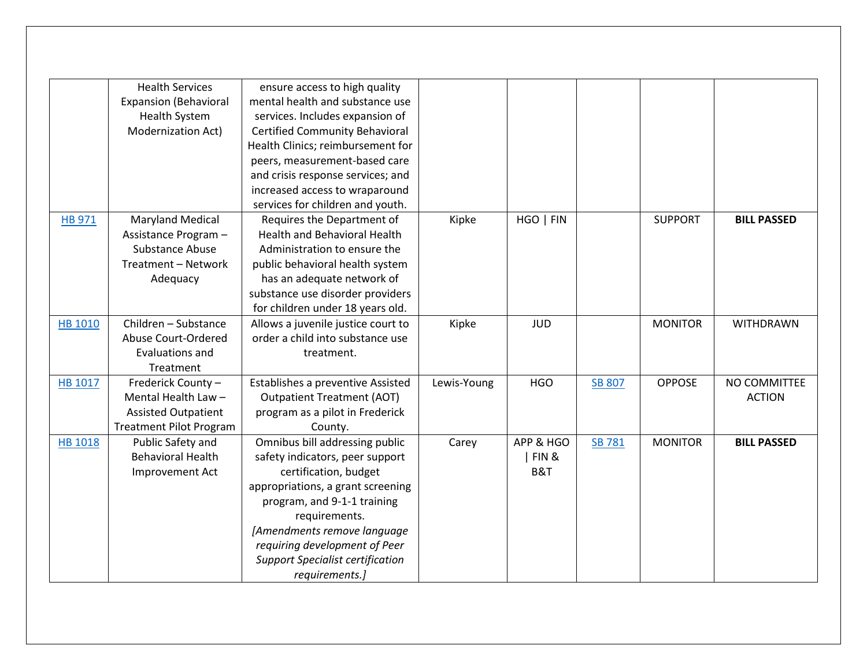|                | <b>Health Services</b>         | ensure access to high quality           |             |            |               |                |                    |
|----------------|--------------------------------|-----------------------------------------|-------------|------------|---------------|----------------|--------------------|
|                | <b>Expansion (Behavioral</b>   | mental health and substance use         |             |            |               |                |                    |
|                | <b>Health System</b>           | services. Includes expansion of         |             |            |               |                |                    |
|                | Modernization Act)             | <b>Certified Community Behavioral</b>   |             |            |               |                |                    |
|                |                                | Health Clinics; reimbursement for       |             |            |               |                |                    |
|                |                                | peers, measurement-based care           |             |            |               |                |                    |
|                |                                | and crisis response services; and       |             |            |               |                |                    |
|                |                                | increased access to wraparound          |             |            |               |                |                    |
|                |                                | services for children and youth.        |             |            |               |                |                    |
| <b>HB 971</b>  | <b>Maryland Medical</b>        | Requires the Department of              | Kipke       | HGO   FIN  |               | <b>SUPPORT</b> | <b>BILL PASSED</b> |
|                | Assistance Program -           | <b>Health and Behavioral Health</b>     |             |            |               |                |                    |
|                | Substance Abuse                | Administration to ensure the            |             |            |               |                |                    |
|                | Treatment - Network            | public behavioral health system         |             |            |               |                |                    |
|                | Adequacy                       | has an adequate network of              |             |            |               |                |                    |
|                |                                | substance use disorder providers        |             |            |               |                |                    |
|                |                                | for children under 18 years old.        |             |            |               |                |                    |
| HB 1010        | Children - Substance           | Allows a juvenile justice court to      | Kipke       | <b>JUD</b> |               | <b>MONITOR</b> | WITHDRAWN          |
|                | Abuse Court-Ordered            | order a child into substance use        |             |            |               |                |                    |
|                | Evaluations and                | treatment.                              |             |            |               |                |                    |
|                | Treatment                      |                                         |             |            |               |                |                    |
| HB 1017        | Frederick County -             | Establishes a preventive Assisted       | Lewis-Young | <b>HGO</b> | <b>SB 807</b> | <b>OPPOSE</b>  | NO COMMITTEE       |
|                | Mental Health Law-             | <b>Outpatient Treatment (AOT)</b>       |             |            |               |                | <b>ACTION</b>      |
|                | <b>Assisted Outpatient</b>     | program as a pilot in Frederick         |             |            |               |                |                    |
|                | <b>Treatment Pilot Program</b> | County.                                 |             |            |               |                |                    |
| <b>HB 1018</b> | Public Safety and              | Omnibus bill addressing public          | Carey       | APP & HGO  | <b>SB 781</b> | <b>MONITOR</b> | <b>BILL PASSED</b> |
|                | <b>Behavioral Health</b>       | safety indicators, peer support         |             | FIN&       |               |                |                    |
|                | Improvement Act                | certification, budget                   |             | B&T        |               |                |                    |
|                |                                | appropriations, a grant screening       |             |            |               |                |                    |
|                |                                | program, and 9-1-1 training             |             |            |               |                |                    |
|                |                                | requirements.                           |             |            |               |                |                    |
|                |                                | [Amendments remove language             |             |            |               |                |                    |
|                |                                | requiring development of Peer           |             |            |               |                |                    |
|                |                                | <b>Support Specialist certification</b> |             |            |               |                |                    |
|                |                                | requirements.]                          |             |            |               |                |                    |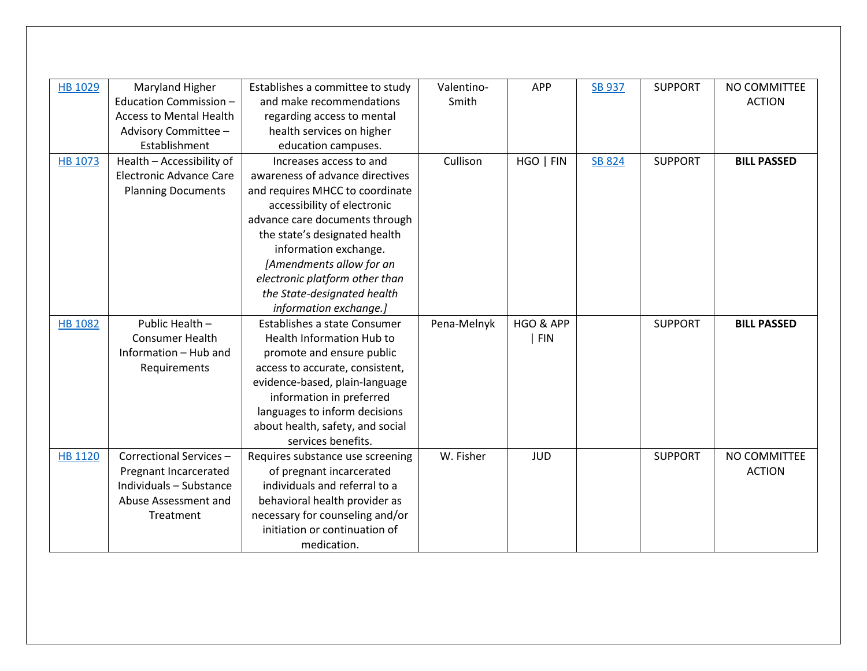| HB 1029        | Maryland Higher                | Establishes a committee to study    | Valentino-  | <b>APP</b> | <b>SB 937</b> | <b>SUPPORT</b> | NO COMMITTEE       |
|----------------|--------------------------------|-------------------------------------|-------------|------------|---------------|----------------|--------------------|
|                | Education Commission -         | and make recommendations            | Smith       |            |               |                | <b>ACTION</b>      |
|                | <b>Access to Mental Health</b> | regarding access to mental          |             |            |               |                |                    |
|                | Advisory Committee -           | health services on higher           |             |            |               |                |                    |
|                | Establishment                  | education campuses.                 |             |            |               |                |                    |
| HB 1073        | Health - Accessibility of      | Increases access to and             | Cullison    | HGO   FIN  | <b>SB 824</b> | <b>SUPPORT</b> | <b>BILL PASSED</b> |
|                | <b>Electronic Advance Care</b> | awareness of advance directives     |             |            |               |                |                    |
|                | <b>Planning Documents</b>      | and requires MHCC to coordinate     |             |            |               |                |                    |
|                |                                | accessibility of electronic         |             |            |               |                |                    |
|                |                                | advance care documents through      |             |            |               |                |                    |
|                |                                | the state's designated health       |             |            |               |                |                    |
|                |                                | information exchange.               |             |            |               |                |                    |
|                |                                | [Amendments allow for an            |             |            |               |                |                    |
|                |                                | electronic platform other than      |             |            |               |                |                    |
|                |                                | the State-designated health         |             |            |               |                |                    |
|                |                                | information exchange.]              |             |            |               |                |                    |
| <b>HB 1082</b> | Public Health -                | <b>Establishes a state Consumer</b> | Pena-Melnyk | HGO & APP  |               | <b>SUPPORT</b> | <b>BILL PASSED</b> |
|                | <b>Consumer Health</b>         | <b>Health Information Hub to</b>    |             | <b>FIN</b> |               |                |                    |
|                | Information - Hub and          | promote and ensure public           |             |            |               |                |                    |
|                | Requirements                   | access to accurate, consistent,     |             |            |               |                |                    |
|                |                                | evidence-based, plain-language      |             |            |               |                |                    |
|                |                                | information in preferred            |             |            |               |                |                    |
|                |                                | languages to inform decisions       |             |            |               |                |                    |
|                |                                | about health, safety, and social    |             |            |               |                |                    |
|                |                                | services benefits.                  |             |            |               |                |                    |
| <b>HB 1120</b> | Correctional Services-         | Requires substance use screening    | W. Fisher   | <b>JUD</b> |               | <b>SUPPORT</b> | NO COMMITTEE       |
|                | Pregnant Incarcerated          | of pregnant incarcerated            |             |            |               |                | <b>ACTION</b>      |
|                | Individuals - Substance        | individuals and referral to a       |             |            |               |                |                    |
|                | Abuse Assessment and           | behavioral health provider as       |             |            |               |                |                    |
|                | Treatment                      | necessary for counseling and/or     |             |            |               |                |                    |
|                |                                | initiation or continuation of       |             |            |               |                |                    |
|                |                                | medication.                         |             |            |               |                |                    |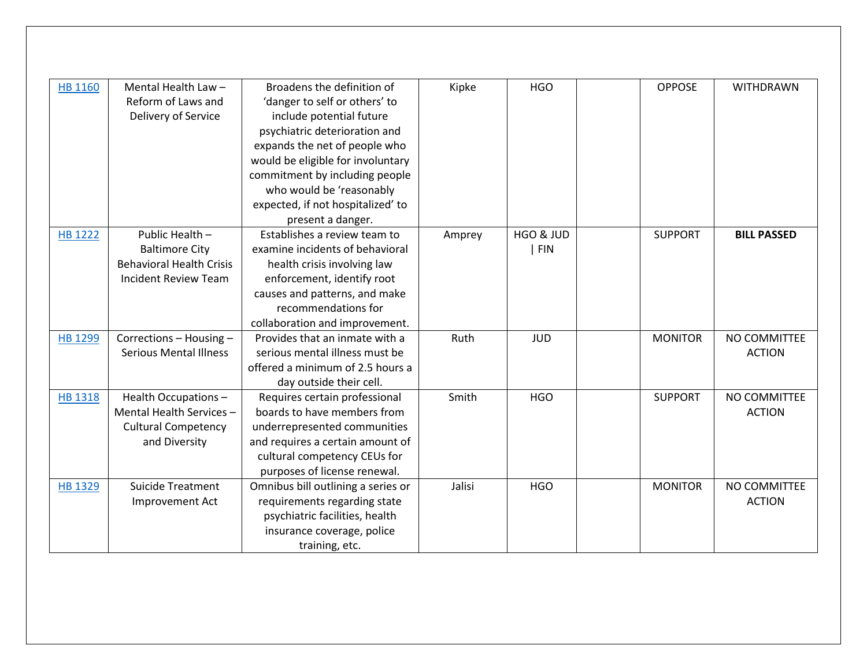| <b>HB 1160</b> | Mental Health Law-              | Broadens the definition of         | Kipke  | <b>HGO</b> | <b>OPPOSE</b>  | <b>WITHDRAWN</b>   |
|----------------|---------------------------------|------------------------------------|--------|------------|----------------|--------------------|
|                | Reform of Laws and              | 'danger to self or others' to      |        |            |                |                    |
|                | Delivery of Service             | include potential future           |        |            |                |                    |
|                |                                 | psychiatric deterioration and      |        |            |                |                    |
|                |                                 | expands the net of people who      |        |            |                |                    |
|                |                                 | would be eligible for involuntary  |        |            |                |                    |
|                |                                 | commitment by including people     |        |            |                |                    |
|                |                                 | who would be 'reasonably           |        |            |                |                    |
|                |                                 | expected, if not hospitalized' to  |        |            |                |                    |
|                |                                 | present a danger.                  |        |            |                |                    |
| <b>HB 1222</b> | Public Health -                 | Establishes a review team to       | Amprey | HGO & JUD  | <b>SUPPORT</b> | <b>BILL PASSED</b> |
|                | <b>Baltimore City</b>           | examine incidents of behavioral    |        | <b>FIN</b> |                |                    |
|                | <b>Behavioral Health Crisis</b> | health crisis involving law        |        |            |                |                    |
|                | Incident Review Team            | enforcement, identify root         |        |            |                |                    |
|                |                                 | causes and patterns, and make      |        |            |                |                    |
|                |                                 | recommendations for                |        |            |                |                    |
|                |                                 | collaboration and improvement.     |        |            |                |                    |
| <b>HB 1299</b> | Corrections - Housing -         | Provides that an inmate with a     | Ruth   | <b>JUD</b> | <b>MONITOR</b> | NO COMMITTEE       |
|                | <b>Serious Mental Illness</b>   | serious mental illness must be     |        |            |                | <b>ACTION</b>      |
|                |                                 | offered a minimum of 2.5 hours a   |        |            |                |                    |
|                |                                 | day outside their cell.            |        |            |                |                    |
| <b>HB 1318</b> | Health Occupations-             | Requires certain professional      | Smith  | <b>HGO</b> | <b>SUPPORT</b> | NO COMMITTEE       |
|                | Mental Health Services -        | boards to have members from        |        |            |                | <b>ACTION</b>      |
|                | <b>Cultural Competency</b>      | underrepresented communities       |        |            |                |                    |
|                | and Diversity                   | and requires a certain amount of   |        |            |                |                    |
|                |                                 | cultural competency CEUs for       |        |            |                |                    |
|                |                                 | purposes of license renewal.       |        |            |                |                    |
| <b>HB 1329</b> | <b>Suicide Treatment</b>        | Omnibus bill outlining a series or | Jalisi | <b>HGO</b> | <b>MONITOR</b> | NO COMMITTEE       |
|                | Improvement Act                 | requirements regarding state       |        |            |                | <b>ACTION</b>      |
|                |                                 | psychiatric facilities, health     |        |            |                |                    |
|                |                                 | insurance coverage, police         |        |            |                |                    |
|                |                                 | training, etc.                     |        |            |                |                    |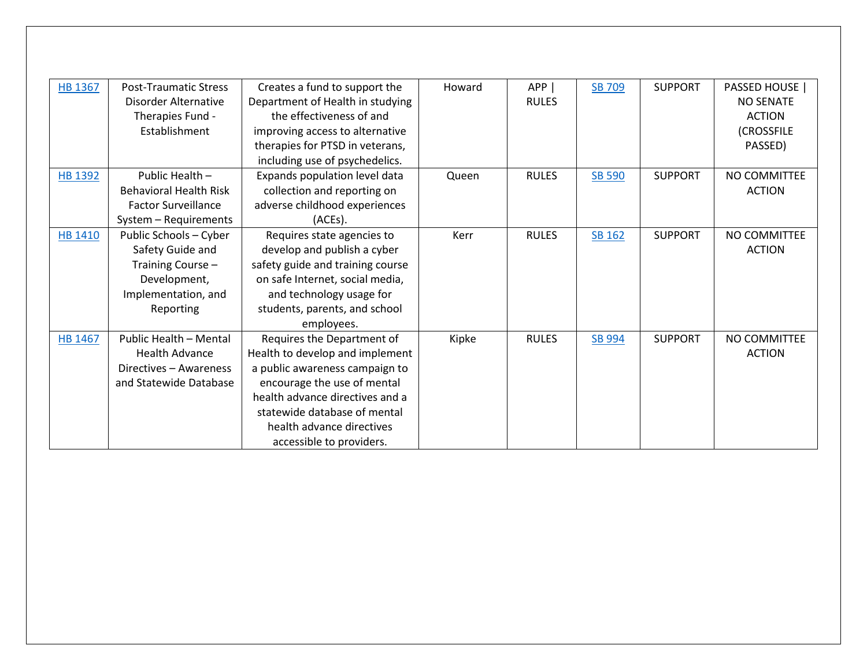| <b>HB 1367</b> | <b>Post-Traumatic Stress</b>  | Creates a fund to support the    | Howard | APP          | SB 709        | <b>SUPPORT</b> | PASSED HOUSE     |
|----------------|-------------------------------|----------------------------------|--------|--------------|---------------|----------------|------------------|
|                | Disorder Alternative          | Department of Health in studying |        | <b>RULES</b> |               |                | <b>NO SENATE</b> |
|                | Therapies Fund -              | the effectiveness of and         |        |              |               |                | <b>ACTION</b>    |
|                | Establishment                 | improving access to alternative  |        |              |               |                | (CROSSFILE       |
|                |                               | therapies for PTSD in veterans,  |        |              |               |                | PASSED)          |
|                |                               | including use of psychedelics.   |        |              |               |                |                  |
| <b>HB 1392</b> | Public Health -               | Expands population level data    | Queen  | <b>RULES</b> | <b>SB 590</b> | <b>SUPPORT</b> | NO COMMITTEE     |
|                | <b>Behavioral Health Risk</b> | collection and reporting on      |        |              |               |                | <b>ACTION</b>    |
|                | <b>Factor Surveillance</b>    | adverse childhood experiences    |        |              |               |                |                  |
|                | System - Requirements         | (ACEs).                          |        |              |               |                |                  |
| <b>HB 1410</b> | Public Schools - Cyber        | Requires state agencies to       | Kerr   | <b>RULES</b> | SB 162        | <b>SUPPORT</b> | NO COMMITTEE     |
|                | Safety Guide and              | develop and publish a cyber      |        |              |               |                | <b>ACTION</b>    |
|                | Training Course -             | safety guide and training course |        |              |               |                |                  |
|                | Development,                  | on safe Internet, social media,  |        |              |               |                |                  |
|                | Implementation, and           | and technology usage for         |        |              |               |                |                  |
|                | Reporting                     | students, parents, and school    |        |              |               |                |                  |
|                |                               | employees.                       |        |              |               |                |                  |
| HB 1467        | Public Health - Mental        | Requires the Department of       | Kipke  | <b>RULES</b> | SB 994        | <b>SUPPORT</b> | NO COMMITTEE     |
|                | <b>Health Advance</b>         | Health to develop and implement  |        |              |               |                | <b>ACTION</b>    |
|                | Directives - Awareness        | a public awareness campaign to   |        |              |               |                |                  |
|                | and Statewide Database        | encourage the use of mental      |        |              |               |                |                  |
|                |                               | health advance directives and a  |        |              |               |                |                  |
|                |                               | statewide database of mental     |        |              |               |                |                  |
|                |                               | health advance directives        |        |              |               |                |                  |
|                |                               | accessible to providers.         |        |              |               |                |                  |